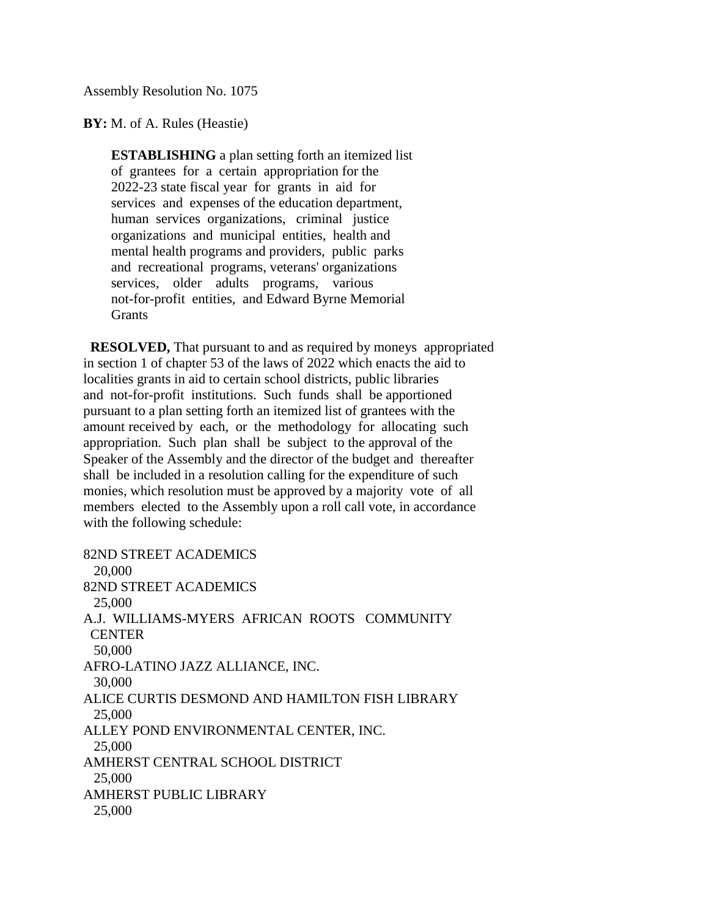Assembly Resolution No. 1075

**BY:** M. of A. Rules (Heastie)

 **ESTABLISHING** a plan setting forth an itemized list of grantees for a certain appropriation for the 2022-23 state fiscal year for grants in aid for services and expenses of the education department, human services organizations, criminal justice organizations and municipal entities, health and mental health programs and providers, public parks and recreational programs, veterans' organizations services, older adults programs, various not-for-profit entities, and Edward Byrne Memorial **Grants** 

 **RESOLVED,** That pursuant to and as required by moneys appropriated in section 1 of chapter 53 of the laws of 2022 which enacts the aid to localities grants in aid to certain school districts, public libraries and not-for-profit institutions. Such funds shall be apportioned pursuant to a plan setting forth an itemized list of grantees with the amount received by each, or the methodology for allocating such appropriation. Such plan shall be subject to the approval of the Speaker of the Assembly and the director of the budget and thereafter shall be included in a resolution calling for the expenditure of such monies, which resolution must be approved by a majority vote of all members elected to the Assembly upon a roll call vote, in accordance with the following schedule:

82ND STREET ACADEMICS 20,000 82ND STREET ACADEMICS 25,000 A.J. WILLIAMS-MYERS AFRICAN ROOTS COMMUNITY **CENTER**  50,000 AFRO-LATINO JAZZ ALLIANCE, INC. 30,000 ALICE CURTIS DESMOND AND HAMILTON FISH LIBRARY 25,000 ALLEY POND ENVIRONMENTAL CENTER, INC. 25,000 AMHERST CENTRAL SCHOOL DISTRICT 25,000 AMHERST PUBLIC LIBRARY 25,000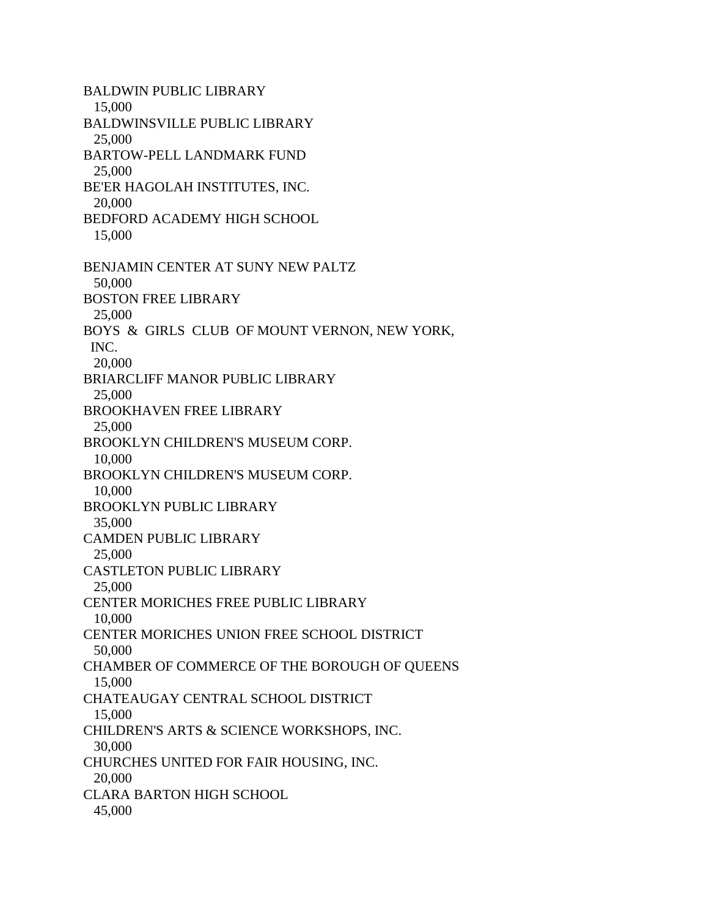BALDWIN PUBLIC LIBRARY 15,000 BALDWINSVILLE PUBLIC LIBRARY 25,000 BARTOW-PELL LANDMARK FUND 25,000 BE'ER HAGOLAH INSTITUTES, INC. 20,000 BEDFORD ACADEMY HIGH SCHOOL 15,000 BENJAMIN CENTER AT SUNY NEW PALTZ 50,000 BOSTON FREE LIBRARY 25,000 BOYS & GIRLS CLUB OF MOUNT VERNON, NEW YORK, INC. 20,000 BRIARCLIFF MANOR PUBLIC LIBRARY 25,000 BROOKHAVEN FREE LIBRARY 25,000 BROOKLYN CHILDREN'S MUSEUM CORP. 10,000 BROOKLYN CHILDREN'S MUSEUM CORP. 10,000 BROOKLYN PUBLIC LIBRARY 35,000 CAMDEN PUBLIC LIBRARY 25,000 CASTLETON PUBLIC LIBRARY 25,000 CENTER MORICHES FREE PUBLIC LIBRARY 10,000 CENTER MORICHES UNION FREE SCHOOL DISTRICT 50,000 CHAMBER OF COMMERCE OF THE BOROUGH OF QUEENS 15,000 CHATEAUGAY CENTRAL SCHOOL DISTRICT 15,000 CHILDREN'S ARTS & SCIENCE WORKSHOPS, INC. 30,000 CHURCHES UNITED FOR FAIR HOUSING, INC. 20,000 CLARA BARTON HIGH SCHOOL 45,000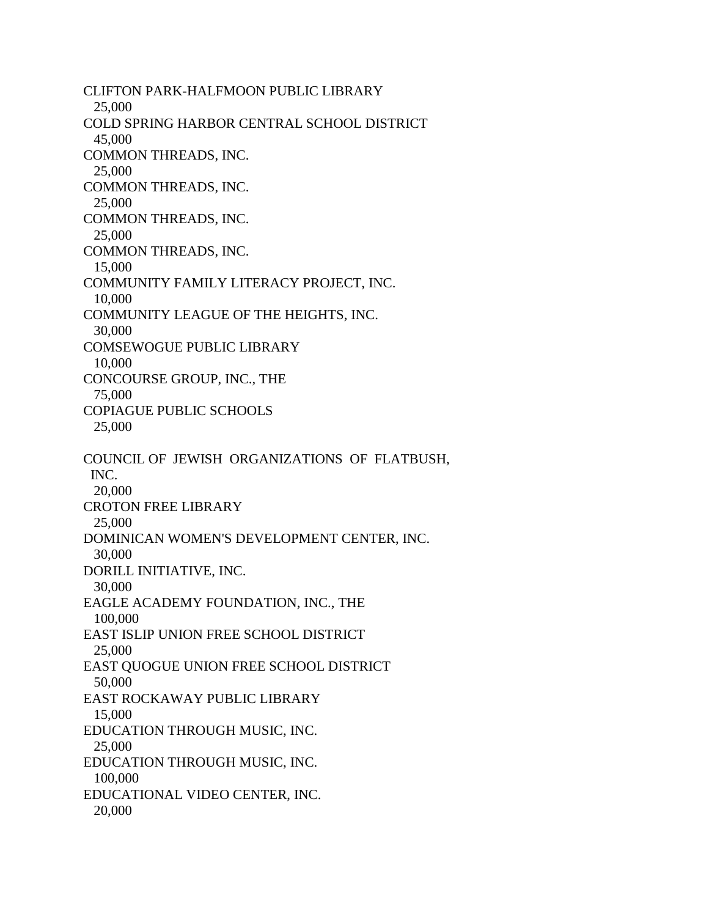CLIFTON PARK-HALFMOON PUBLIC LIBRARY 25,000 COLD SPRING HARBOR CENTRAL SCHOOL DISTRICT 45,000 COMMON THREADS, INC. 25,000 COMMON THREADS, INC. 25,000 COMMON THREADS, INC. 25,000 COMMON THREADS, INC. 15,000 COMMUNITY FAMILY LITERACY PROJECT, INC. 10,000 COMMUNITY LEAGUE OF THE HEIGHTS, INC. 30,000 COMSEWOGUE PUBLIC LIBRARY 10,000 CONCOURSE GROUP, INC., THE 75,000 COPIAGUE PUBLIC SCHOOLS 25,000 COUNCIL OF JEWISH ORGANIZATIONS OF FLATBUSH, INC. 20,000 CROTON FREE LIBRARY 25,000 DOMINICAN WOMEN'S DEVELOPMENT CENTER, INC. 30,000 DORILL INITIATIVE, INC. 30,000 EAGLE ACADEMY FOUNDATION, INC., THE 100,000 EAST ISLIP UNION FREE SCHOOL DISTRICT 25,000 EAST QUOGUE UNION FREE SCHOOL DISTRICT 50,000 EAST ROCKAWAY PUBLIC LIBRARY 15,000 EDUCATION THROUGH MUSIC, INC. 25,000 EDUCATION THROUGH MUSIC, INC. 100,000 EDUCATIONAL VIDEO CENTER, INC. 20,000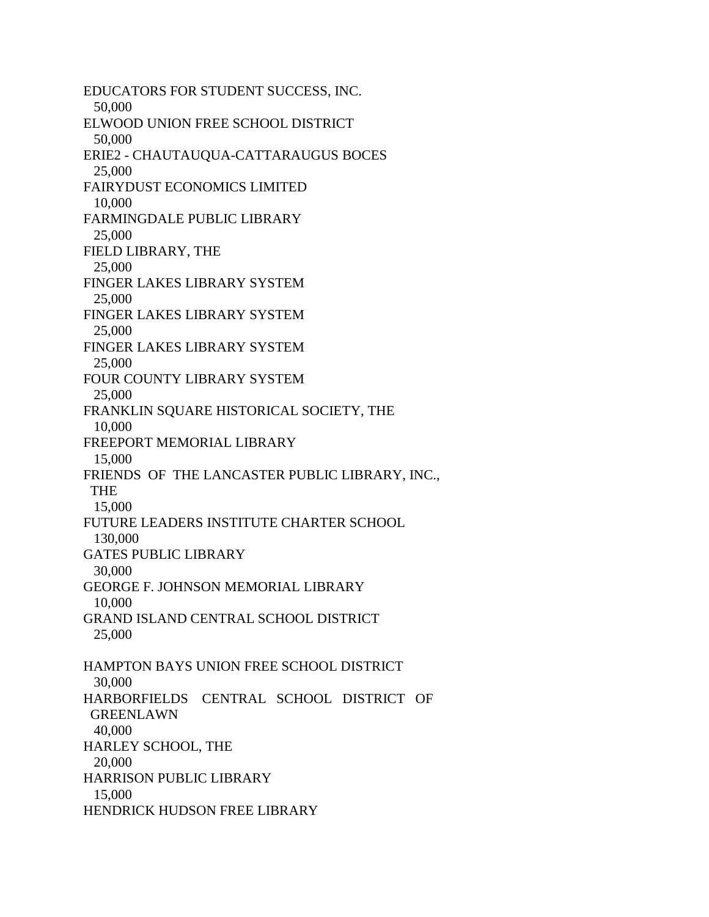EDUCATORS FOR STUDENT SUCCESS, INC. 50,000 ELWOOD UNION FREE SCHOOL DISTRICT 50,000 ERIE2 - CHAUTAUQUA-CATTARAUGUS BOCES 25,000 FAIRYDUST ECONOMICS LIMITED 10,000 FARMINGDALE PUBLIC LIBRARY 25,000 FIELD LIBRARY, THE 25,000 FINGER LAKES LIBRARY SYSTEM 25,000 FINGER LAKES LIBRARY SYSTEM 25,000 FINGER LAKES LIBRARY SYSTEM 25,000 FOUR COUNTY LIBRARY SYSTEM 25,000 FRANKLIN SQUARE HISTORICAL SOCIETY, THE 10,000 FREEPORT MEMORIAL LIBRARY 15,000 FRIENDS OF THE LANCASTER PUBLIC LIBRARY, INC., THE 15,000 FUTURE LEADERS INSTITUTE CHARTER SCHOOL 130,000 GATES PUBLIC LIBRARY 30,000 GEORGE F. JOHNSON MEMORIAL LIBRARY 10,000 GRAND ISLAND CENTRAL SCHOOL DISTRICT 25,000 HAMPTON BAYS UNION FREE SCHOOL DISTRICT 30,000 HARBORFIELDS CENTRAL SCHOOL DISTRICT OF **GREENLAWN**  40,000 HARLEY SCHOOL, THE 20,000 HARRISON PUBLIC LIBRARY 15,000 HENDRICK HUDSON FREE LIBRARY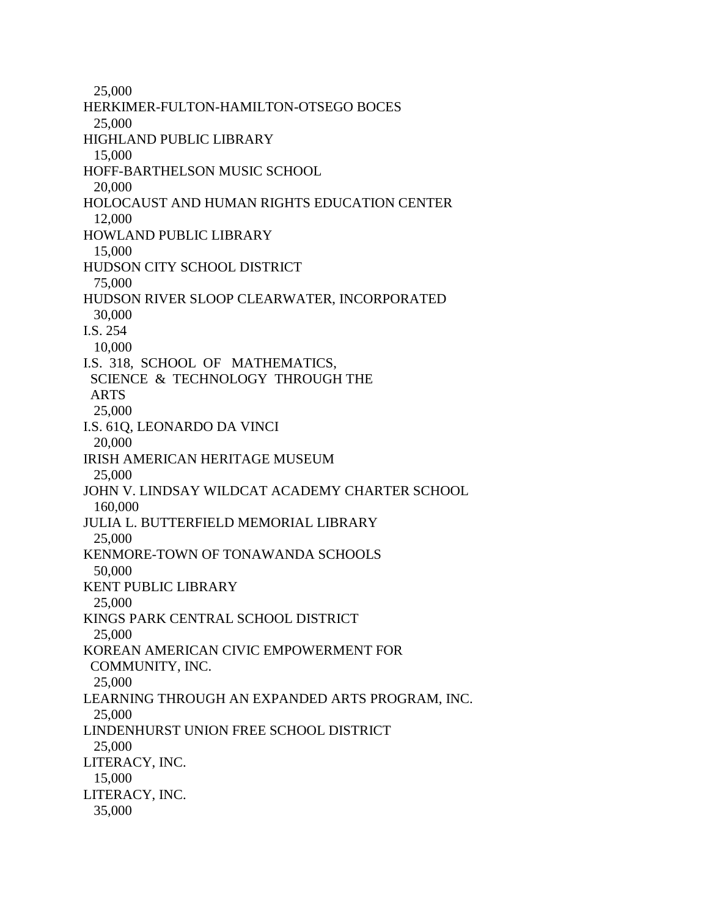25,000 HERKIMER-FULTON-HAMILTON-OTSEGO BOCES 25,000 HIGHLAND PUBLIC LIBRARY 15,000 HOFF-BARTHELSON MUSIC SCHOOL 20,000 HOLOCAUST AND HUMAN RIGHTS EDUCATION CENTER 12,000 HOWLAND PUBLIC LIBRARY 15,000 HUDSON CITY SCHOOL DISTRICT 75,000 HUDSON RIVER SLOOP CLEARWATER, INCORPORATED 30,000 I.S. 254 10,000 I.S. 318, SCHOOL OF MATHEMATICS, SCIENCE & TECHNOLOGY THROUGH THE ARTS 25,000 I.S. 61Q, LEONARDO DA VINCI 20,000 IRISH AMERICAN HERITAGE MUSEUM 25,000 JOHN V. LINDSAY WILDCAT ACADEMY CHARTER SCHOOL 160,000 JULIA L. BUTTERFIELD MEMORIAL LIBRARY 25,000 KENMORE-TOWN OF TONAWANDA SCHOOLS 50,000 KENT PUBLIC LIBRARY 25,000 KINGS PARK CENTRAL SCHOOL DISTRICT 25,000 KOREAN AMERICAN CIVIC EMPOWERMENT FOR COMMUNITY, INC. 25,000 LEARNING THROUGH AN EXPANDED ARTS PROGRAM, INC. 25,000 LINDENHURST UNION FREE SCHOOL DISTRICT 25,000 LITERACY, INC. 15,000 LITERACY, INC. 35,000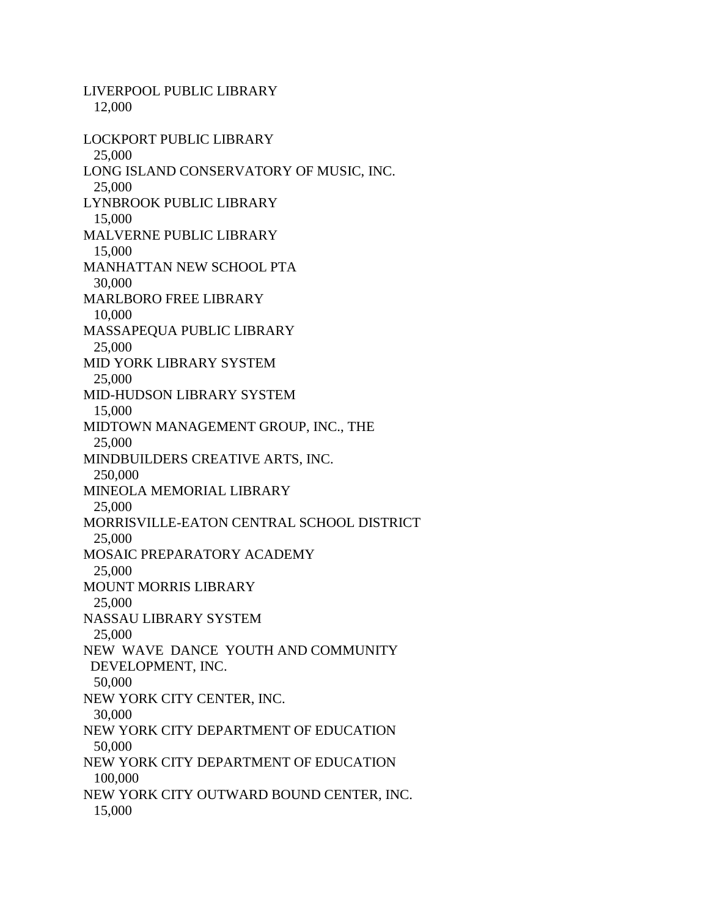LIVERPOOL PUBLIC LIBRARY 12,000 LOCKPORT PUBLIC LIBRARY 25,000 LONG ISLAND CONSERVATORY OF MUSIC, INC. 25,000 LYNBROOK PUBLIC LIBRARY 15,000 MALVERNE PUBLIC LIBRARY 15,000 MANHATTAN NEW SCHOOL PTA 30,000 MARLBORO FREE LIBRARY 10,000 MASSAPEQUA PUBLIC LIBRARY 25,000 MID YORK LIBRARY SYSTEM 25,000 MID-HUDSON LIBRARY SYSTEM 15,000 MIDTOWN MANAGEMENT GROUP, INC., THE 25,000 MINDBUILDERS CREATIVE ARTS, INC. 250,000 MINEOLA MEMORIAL LIBRARY 25,000 MORRISVILLE-EATON CENTRAL SCHOOL DISTRICT 25,000 MOSAIC PREPARATORY ACADEMY 25,000 MOUNT MORRIS LIBRARY 25,000 NASSAU LIBRARY SYSTEM 25,000 NEW WAVE DANCE YOUTH AND COMMUNITY DEVELOPMENT, INC. 50,000 NEW YORK CITY CENTER, INC. 30,000 NEW YORK CITY DEPARTMENT OF EDUCATION 50,000 NEW YORK CITY DEPARTMENT OF EDUCATION 100,000 NEW YORK CITY OUTWARD BOUND CENTER, INC. 15,000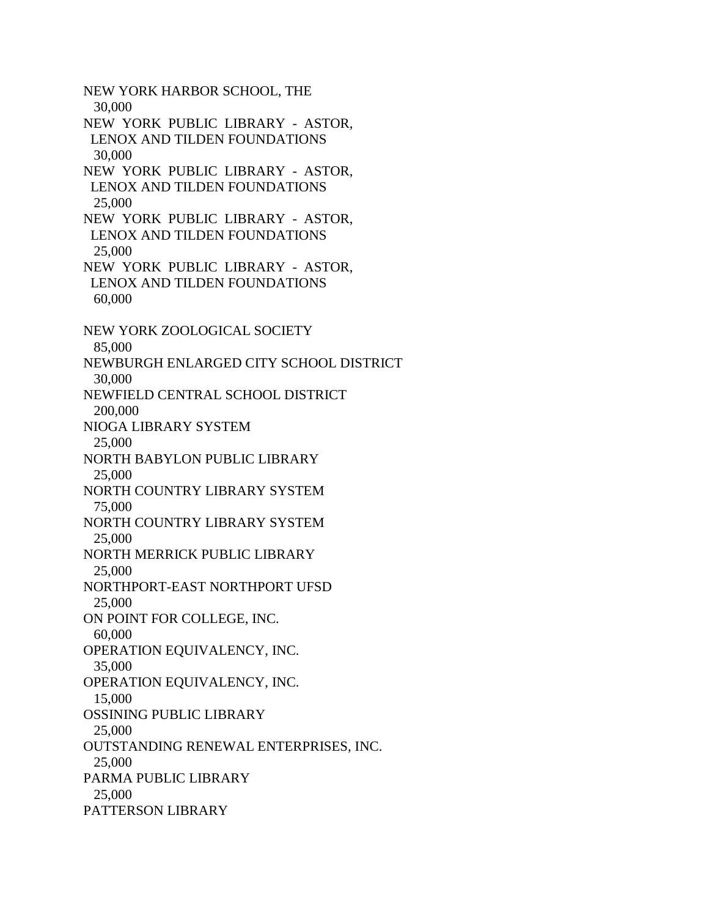NEW YORK HARBOR SCHOOL, THE 30,000 NEW YORK PUBLIC LIBRARY - ASTOR, LENOX AND TILDEN FOUNDATIONS 30,000 NEW YORK PUBLIC LIBRARY - ASTOR, LENOX AND TILDEN FOUNDATIONS 25,000 NEW YORK PUBLIC LIBRARY - ASTOR, LENOX AND TILDEN FOUNDATIONS 25,000 NEW YORK PUBLIC LIBRARY - ASTOR, LENOX AND TILDEN FOUNDATIONS 60,000 NEW YORK ZOOLOGICAL SOCIETY 85,000 NEWBURGH ENLARGED CITY SCHOOL DISTRICT 30,000 NEWFIELD CENTRAL SCHOOL DISTRICT 200,000 NIOGA LIBRARY SYSTEM 25,000 NORTH BABYLON PUBLIC LIBRARY 25,000 NORTH COUNTRY LIBRARY SYSTEM 75,000 NORTH COUNTRY LIBRARY SYSTEM 25,000 NORTH MERRICK PUBLIC LIBRARY 25,000 NORTHPORT-EAST NORTHPORT UFSD 25,000 ON POINT FOR COLLEGE, INC. 60,000 OPERATION EQUIVALENCY, INC. 35,000 OPERATION EQUIVALENCY, INC. 15,000 OSSINING PUBLIC LIBRARY 25,000 OUTSTANDING RENEWAL ENTERPRISES, INC. 25,000 PARMA PUBLIC LIBRARY 25,000 PATTERSON LIBRARY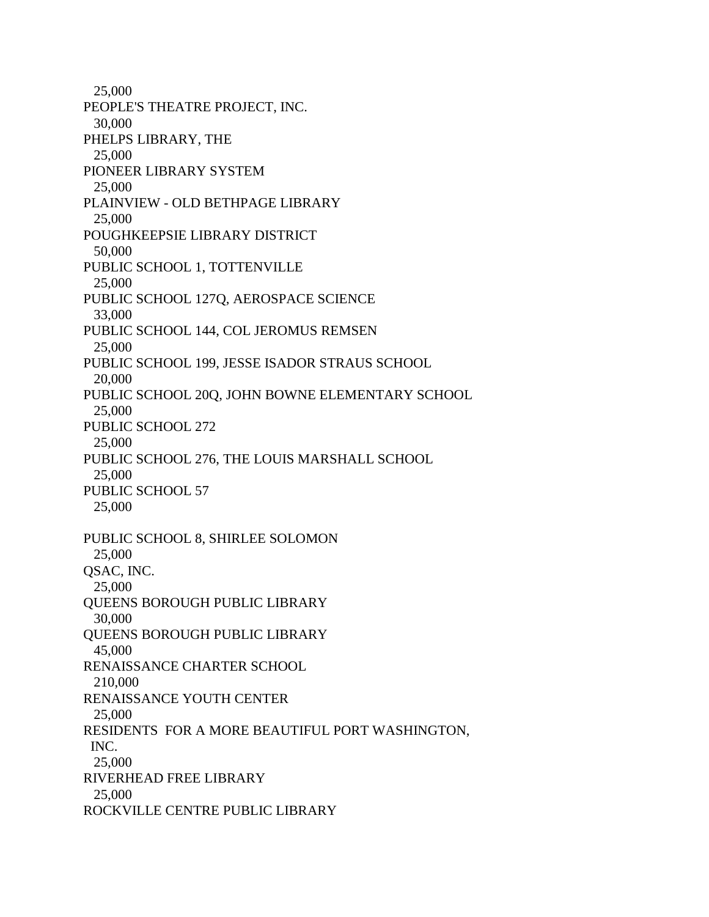25,000 PEOPLE'S THEATRE PROJECT, INC. 30,000 PHELPS LIBRARY, THE 25,000 PIONEER LIBRARY SYSTEM 25,000 PLAINVIEW - OLD BETHPAGE LIBRARY 25,000 POUGHKEEPSIE LIBRARY DISTRICT 50,000 PUBLIC SCHOOL 1, TOTTENVILLE 25,000 PUBLIC SCHOOL 127Q, AEROSPACE SCIENCE 33,000 PUBLIC SCHOOL 144, COL JEROMUS REMSEN 25,000 PUBLIC SCHOOL 199, JESSE ISADOR STRAUS SCHOOL 20,000 PUBLIC SCHOOL 20Q, JOHN BOWNE ELEMENTARY SCHOOL 25,000 PUBLIC SCHOOL 272 25,000 PUBLIC SCHOOL 276, THE LOUIS MARSHALL SCHOOL 25,000 PUBLIC SCHOOL 57 25,000 PUBLIC SCHOOL 8, SHIRLEE SOLOMON 25,000 QSAC, INC. 25,000 QUEENS BOROUGH PUBLIC LIBRARY 30,000 QUEENS BOROUGH PUBLIC LIBRARY 45,000 RENAISSANCE CHARTER SCHOOL 210,000 RENAISSANCE YOUTH CENTER 25,000 RESIDENTS FOR A MORE BEAUTIFUL PORT WASHINGTON, INC. 25,000 RIVERHEAD FREE LIBRARY 25,000 ROCKVILLE CENTRE PUBLIC LIBRARY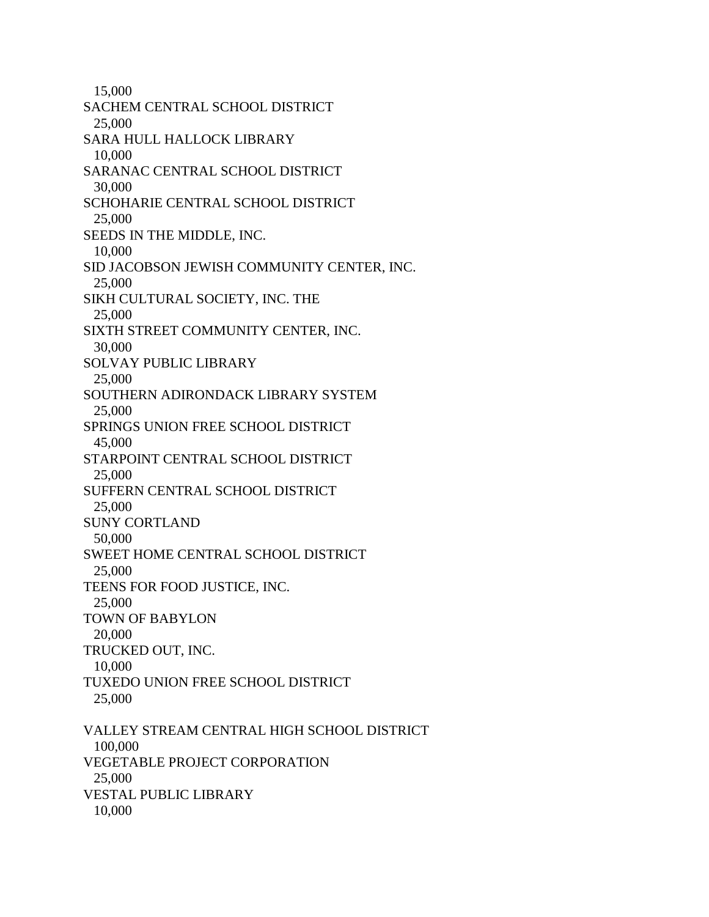15,000 SACHEM CENTRAL SCHOOL DISTRICT 25,000 SARA HULL HALLOCK LIBRARY 10,000 SARANAC CENTRAL SCHOOL DISTRICT 30,000 SCHOHARIE CENTRAL SCHOOL DISTRICT 25,000 SEEDS IN THE MIDDLE, INC. 10,000 SID JACOBSON JEWISH COMMUNITY CENTER, INC. 25,000 SIKH CULTURAL SOCIETY, INC. THE 25,000 SIXTH STREET COMMUNITY CENTER, INC. 30,000 SOLVAY PUBLIC LIBRARY 25,000 SOUTHERN ADIRONDACK LIBRARY SYSTEM 25,000 SPRINGS UNION FREE SCHOOL DISTRICT 45,000 STARPOINT CENTRAL SCHOOL DISTRICT 25,000 SUFFERN CENTRAL SCHOOL DISTRICT 25,000 SUNY CORTLAND 50,000 SWEET HOME CENTRAL SCHOOL DISTRICT 25,000 TEENS FOR FOOD JUSTICE, INC. 25,000 TOWN OF BABYLON 20,000 TRUCKED OUT, INC. 10,000 TUXEDO UNION FREE SCHOOL DISTRICT 25,000 VALLEY STREAM CENTRAL HIGH SCHOOL DISTRICT 100,000 VEGETABLE PROJECT CORPORATION 25,000 VESTAL PUBLIC LIBRARY 10,000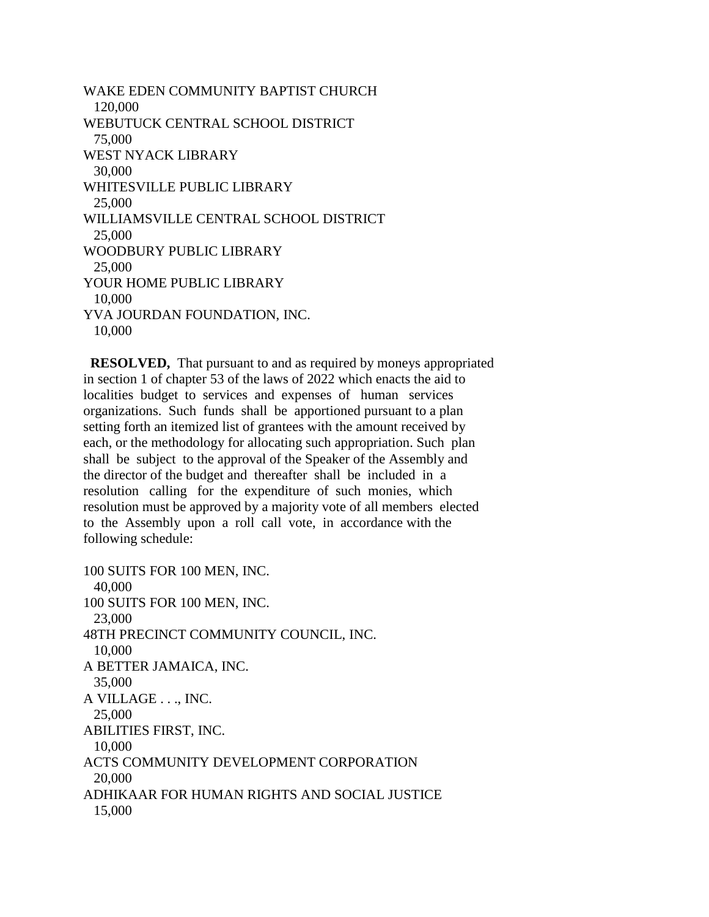WAKE EDEN COMMUNITY BAPTIST CHURCH 120,000 WEBUTUCK CENTRAL SCHOOL DISTRICT 75,000 WEST NYACK LIBRARY 30,000 WHITESVILLE PUBLIC LIBRARY 25,000 WILLIAMSVILLE CENTRAL SCHOOL DISTRICT 25,000 WOODBURY PUBLIC LIBRARY 25,000 YOUR HOME PUBLIC LIBRARY 10,000 YVA JOURDAN FOUNDATION, INC. 10,000

 **RESOLVED,** That pursuant to and as required by moneys appropriated in section 1 of chapter 53 of the laws of 2022 which enacts the aid to localities budget to services and expenses of human services organizations. Such funds shall be apportioned pursuant to a plan setting forth an itemized list of grantees with the amount received by each, or the methodology for allocating such appropriation. Such plan shall be subject to the approval of the Speaker of the Assembly and the director of the budget and thereafter shall be included in a resolution calling for the expenditure of such monies, which resolution must be approved by a majority vote of all members elected to the Assembly upon a roll call vote, in accordance with the following schedule:

100 SUITS FOR 100 MEN, INC. 40,000 100 SUITS FOR 100 MEN, INC. 23,000 48TH PRECINCT COMMUNITY COUNCIL, INC. 10,000 A BETTER JAMAICA, INC. 35,000 A VILLAGE . . ., INC. 25,000 ABILITIES FIRST, INC. 10,000 ACTS COMMUNITY DEVELOPMENT CORPORATION 20,000 ADHIKAAR FOR HUMAN RIGHTS AND SOCIAL JUSTICE 15,000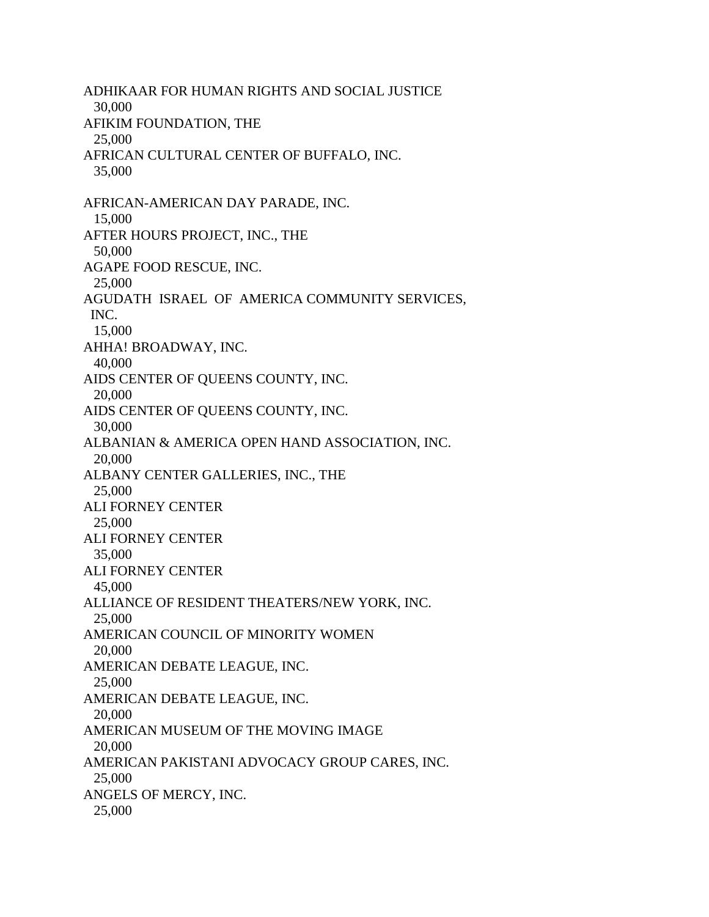ADHIKAAR FOR HUMAN RIGHTS AND SOCIAL JUSTICE 30,000 AFIKIM FOUNDATION, THE 25,000 AFRICAN CULTURAL CENTER OF BUFFALO, INC. 35,000 AFRICAN-AMERICAN DAY PARADE, INC. 15,000 AFTER HOURS PROJECT, INC., THE 50,000 AGAPE FOOD RESCUE, INC. 25,000 AGUDATH ISRAEL OF AMERICA COMMUNITY SERVICES, INC. 15,000 AHHA! BROADWAY, INC. 40,000 AIDS CENTER OF QUEENS COUNTY, INC. 20,000 AIDS CENTER OF QUEENS COUNTY, INC. 30,000 ALBANIAN & AMERICA OPEN HAND ASSOCIATION, INC. 20,000 ALBANY CENTER GALLERIES, INC., THE 25,000 ALI FORNEY CENTER 25,000 ALI FORNEY CENTER 35,000 ALI FORNEY CENTER 45,000 ALLIANCE OF RESIDENT THEATERS/NEW YORK, INC. 25,000 AMERICAN COUNCIL OF MINORITY WOMEN 20,000 AMERICAN DEBATE LEAGUE, INC. 25,000 AMERICAN DEBATE LEAGUE, INC. 20,000 AMERICAN MUSEUM OF THE MOVING IMAGE 20,000 AMERICAN PAKISTANI ADVOCACY GROUP CARES, INC. 25,000 ANGELS OF MERCY, INC. 25,000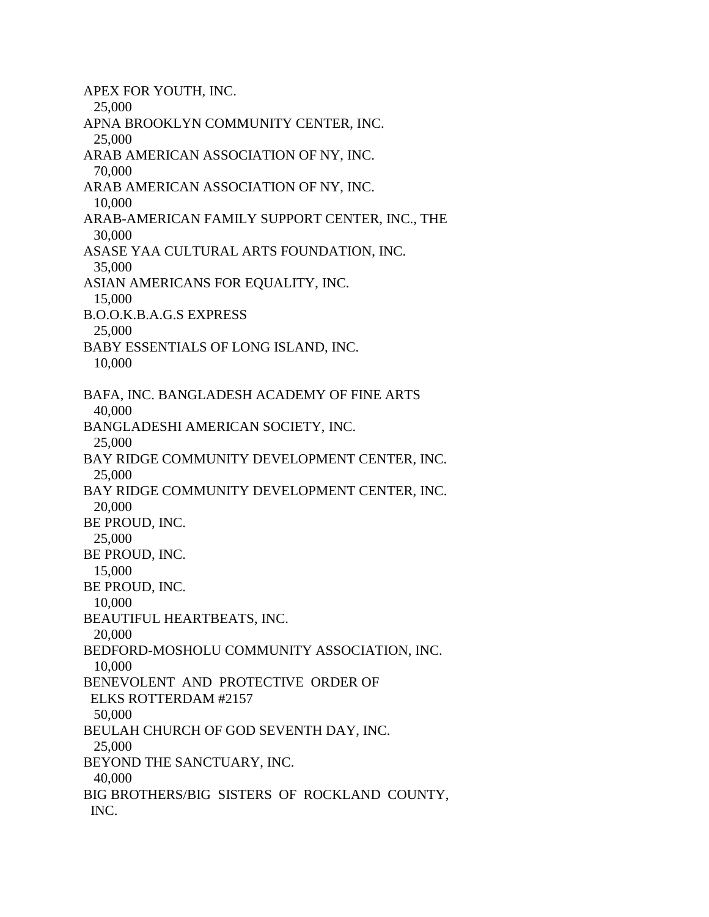APEX FOR YOUTH, INC. 25,000 APNA BROOKLYN COMMUNITY CENTER, INC. 25,000 ARAB AMERICAN ASSOCIATION OF NY, INC. 70,000 ARAB AMERICAN ASSOCIATION OF NY, INC. 10,000 ARAB-AMERICAN FAMILY SUPPORT CENTER, INC., THE 30,000 ASASE YAA CULTURAL ARTS FOUNDATION, INC. 35,000 ASIAN AMERICANS FOR EQUALITY, INC. 15,000 B.O.O.K.B.A.G.S EXPRESS 25,000 BABY ESSENTIALS OF LONG ISLAND, INC. 10,000 BAFA, INC. BANGLADESH ACADEMY OF FINE ARTS 40,000 BANGLADESHI AMERICAN SOCIETY, INC. 25,000 BAY RIDGE COMMUNITY DEVELOPMENT CENTER, INC. 25,000 BAY RIDGE COMMUNITY DEVELOPMENT CENTER, INC. 20,000 BE PROUD, INC. 25,000 BE PROUD, INC. 15,000 BE PROUD, INC. 10,000 BEAUTIFUL HEARTBEATS, INC. 20,000 BEDFORD-MOSHOLU COMMUNITY ASSOCIATION, INC. 10,000 BENEVOLENT AND PROTECTIVE ORDER OF ELKS ROTTERDAM #2157 50,000 BEULAH CHURCH OF GOD SEVENTH DAY, INC. 25,000 BEYOND THE SANCTUARY, INC. 40,000 BIG BROTHERS/BIG SISTERS OF ROCKLAND COUNTY, INC.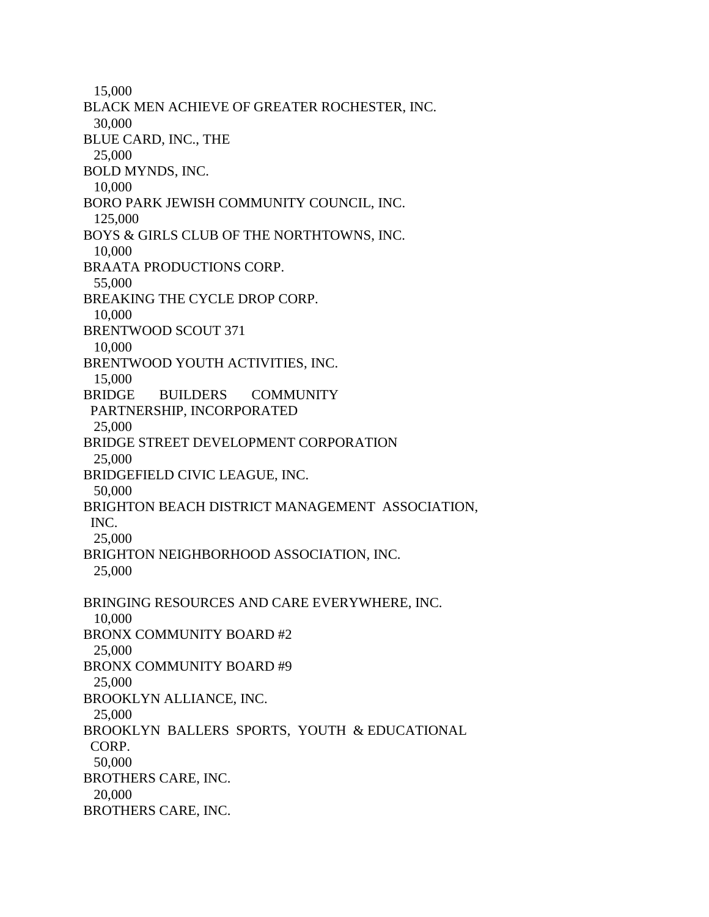15,000 BLACK MEN ACHIEVE OF GREATER ROCHESTER, INC. 30,000 BLUE CARD, INC., THE 25,000 BOLD MYNDS, INC. 10,000 BORO PARK JEWISH COMMUNITY COUNCIL, INC. 125,000 BOYS & GIRLS CLUB OF THE NORTHTOWNS, INC. 10,000 BRAATA PRODUCTIONS CORP. 55,000 BREAKING THE CYCLE DROP CORP. 10,000 BRENTWOOD SCOUT 371 10,000 BRENTWOOD YOUTH ACTIVITIES, INC. 15,000 BRIDGE BUILDERS COMMUNITY PARTNERSHIP, INCORPORATED 25,000 BRIDGE STREET DEVELOPMENT CORPORATION 25,000 BRIDGEFIELD CIVIC LEAGUE, INC. 50,000 BRIGHTON BEACH DISTRICT MANAGEMENT ASSOCIATION, INC. 25,000 BRIGHTON NEIGHBORHOOD ASSOCIATION, INC. 25,000 BRINGING RESOURCES AND CARE EVERYWHERE, INC. 10,000 BRONX COMMUNITY BOARD #2 25,000 BRONX COMMUNITY BOARD #9 25,000 BROOKLYN ALLIANCE, INC. 25,000 BROOKLYN BALLERS SPORTS, YOUTH & EDUCATIONAL CORP. 50,000 BROTHERS CARE, INC. 20,000 BROTHERS CARE, INC.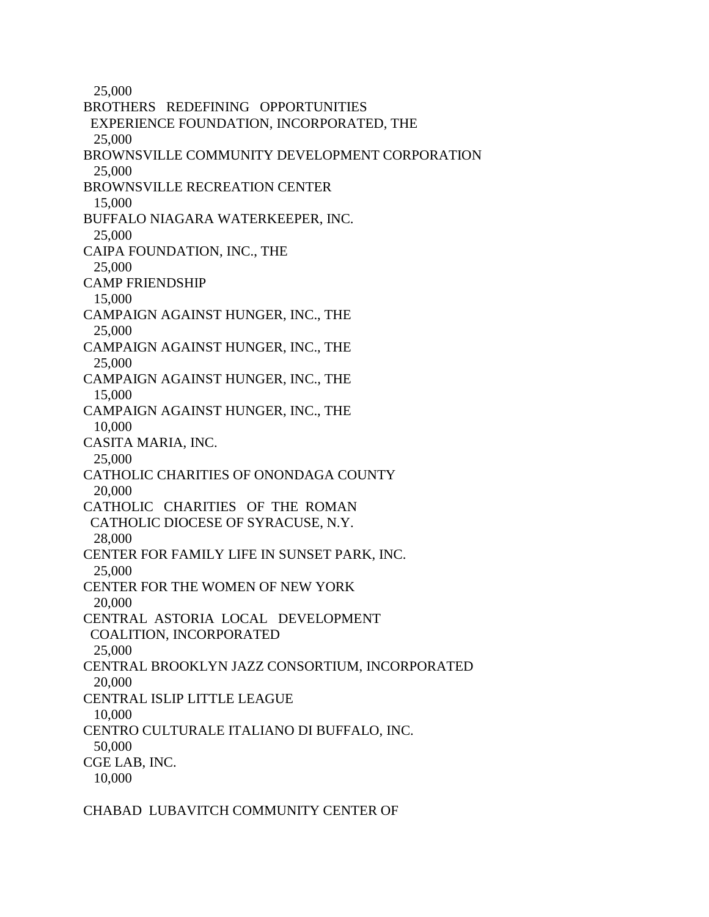25,000 BROTHERS REDEFINING OPPORTUNITIES EXPERIENCE FOUNDATION, INCORPORATED, THE 25,000 BROWNSVILLE COMMUNITY DEVELOPMENT CORPORATION 25,000 BROWNSVILLE RECREATION CENTER 15,000 BUFFALO NIAGARA WATERKEEPER, INC. 25,000 CAIPA FOUNDATION, INC., THE 25,000 CAMP FRIENDSHIP 15,000 CAMPAIGN AGAINST HUNGER, INC., THE 25,000 CAMPAIGN AGAINST HUNGER, INC., THE 25,000 CAMPAIGN AGAINST HUNGER, INC., THE 15,000 CAMPAIGN AGAINST HUNGER, INC., THE 10,000 CASITA MARIA, INC. 25,000 CATHOLIC CHARITIES OF ONONDAGA COUNTY 20,000 CATHOLIC CHARITIES OF THE ROMAN CATHOLIC DIOCESE OF SYRACUSE, N.Y. 28,000 CENTER FOR FAMILY LIFE IN SUNSET PARK, INC. 25,000 CENTER FOR THE WOMEN OF NEW YORK 20,000 CENTRAL ASTORIA LOCAL DEVELOPMENT COALITION, INCORPORATED 25,000 CENTRAL BROOKLYN JAZZ CONSORTIUM, INCORPORATED 20,000 CENTRAL ISLIP LITTLE LEAGUE 10,000 CENTRO CULTURALE ITALIANO DI BUFFALO, INC. 50,000 CGE LAB, INC. 10,000

CHABAD LUBAVITCH COMMUNITY CENTER OF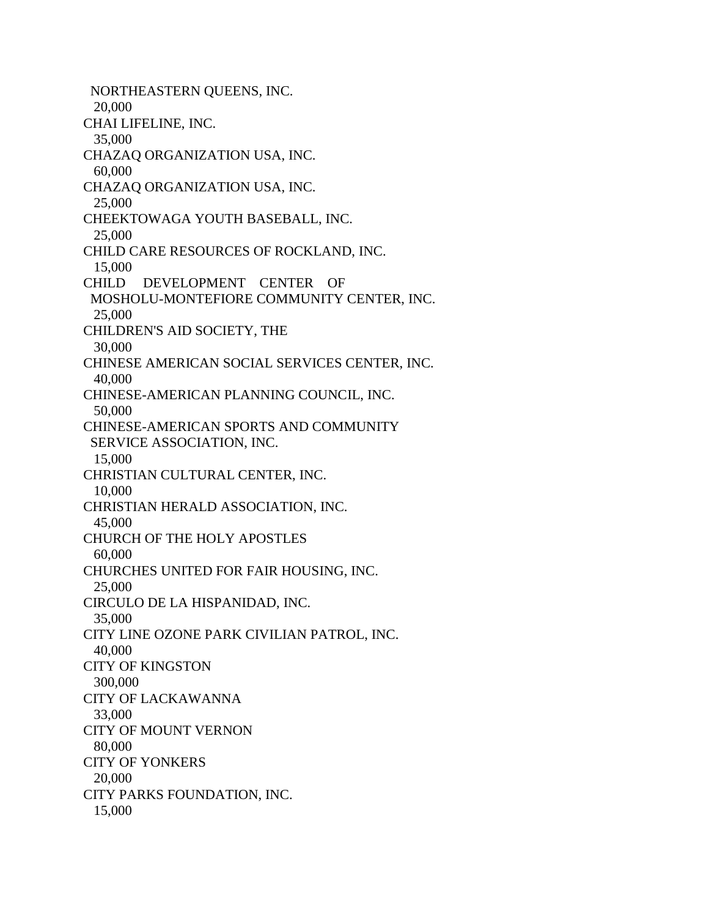NORTHEASTERN QUEENS, INC. 20,000 CHAI LIFELINE, INC. 35,000 CHAZAQ ORGANIZATION USA, INC. 60,000 CHAZAQ ORGANIZATION USA, INC. 25,000 CHEEKTOWAGA YOUTH BASEBALL, INC. 25,000 CHILD CARE RESOURCES OF ROCKLAND, INC. 15,000 CHILD DEVELOPMENT CENTER OF MOSHOLU-MONTEFIORE COMMUNITY CENTER, INC. 25,000 CHILDREN'S AID SOCIETY, THE 30,000 CHINESE AMERICAN SOCIAL SERVICES CENTER, INC. 40,000 CHINESE-AMERICAN PLANNING COUNCIL, INC. 50,000 CHINESE-AMERICAN SPORTS AND COMMUNITY SERVICE ASSOCIATION, INC. 15,000 CHRISTIAN CULTURAL CENTER, INC. 10,000 CHRISTIAN HERALD ASSOCIATION, INC. 45,000 CHURCH OF THE HOLY APOSTLES 60,000 CHURCHES UNITED FOR FAIR HOUSING, INC. 25,000 CIRCULO DE LA HISPANIDAD, INC. 35,000 CITY LINE OZONE PARK CIVILIAN PATROL, INC. 40,000 CITY OF KINGSTON 300,000 CITY OF LACKAWANNA 33,000 CITY OF MOUNT VERNON 80,000 CITY OF YONKERS 20,000 CITY PARKS FOUNDATION, INC. 15,000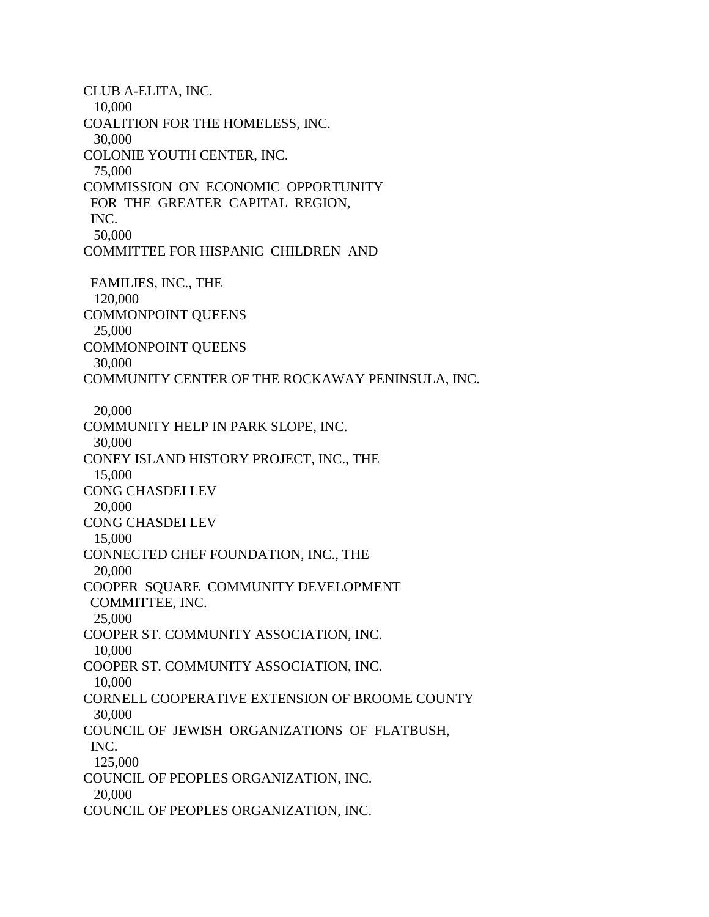CLUB A-ELITA, INC. 10,000 COALITION FOR THE HOMELESS, INC. 30,000 COLONIE YOUTH CENTER, INC. 75,000 COMMISSION ON ECONOMIC OPPORTUNITY FOR THE GREATER CAPITAL REGION, INC. 50,000 COMMITTEE FOR HISPANIC CHILDREN AND FAMILIES, INC., THE 120,000 COMMONPOINT QUEENS 25,000 COMMONPOINT QUEENS 30,000 COMMUNITY CENTER OF THE ROCKAWAY PENINSULA, INC. 20,000 COMMUNITY HELP IN PARK SLOPE, INC. 30,000 CONEY ISLAND HISTORY PROJECT, INC., THE 15,000 CONG CHASDEI LEV 20,000 CONG CHASDEI LEV 15,000 CONNECTED CHEF FOUNDATION, INC., THE 20,000 COOPER SQUARE COMMUNITY DEVELOPMENT COMMITTEE, INC. 25,000 COOPER ST. COMMUNITY ASSOCIATION, INC. 10,000 COOPER ST. COMMUNITY ASSOCIATION, INC. 10,000 CORNELL COOPERATIVE EXTENSION OF BROOME COUNTY 30,000 COUNCIL OF JEWISH ORGANIZATIONS OF FLATBUSH, INC. 125,000 COUNCIL OF PEOPLES ORGANIZATION, INC. 20,000 COUNCIL OF PEOPLES ORGANIZATION, INC.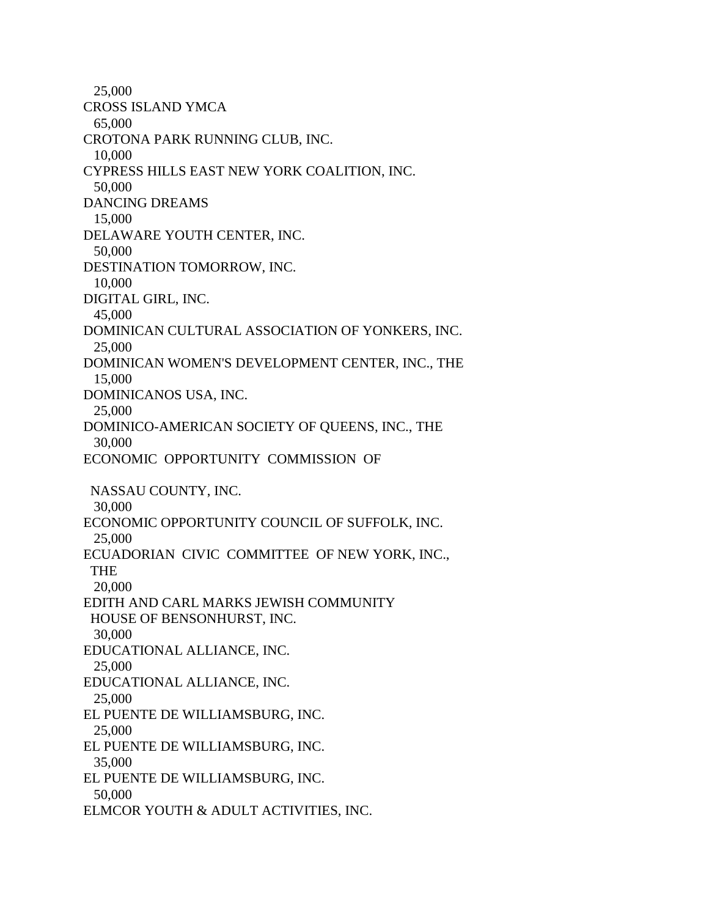25,000 CROSS ISLAND YMCA 65,000 CROTONA PARK RUNNING CLUB, INC. 10,000 CYPRESS HILLS EAST NEW YORK COALITION, INC. 50,000 DANCING DREAMS 15,000 DELAWARE YOUTH CENTER, INC. 50,000 DESTINATION TOMORROW, INC. 10,000 DIGITAL GIRL, INC. 45,000 DOMINICAN CULTURAL ASSOCIATION OF YONKERS, INC. 25,000 DOMINICAN WOMEN'S DEVELOPMENT CENTER, INC., THE 15,000 DOMINICANOS USA, INC. 25,000 DOMINICO-AMERICAN SOCIETY OF QUEENS, INC., THE 30,000 ECONOMIC OPPORTUNITY COMMISSION OF NASSAU COUNTY, INC. 30,000 ECONOMIC OPPORTUNITY COUNCIL OF SUFFOLK, INC. 25,000 ECUADORIAN CIVIC COMMITTEE OF NEW YORK, INC., THE 20,000 EDITH AND CARL MARKS JEWISH COMMUNITY HOUSE OF BENSONHURST, INC. 30,000 EDUCATIONAL ALLIANCE, INC. 25,000 EDUCATIONAL ALLIANCE, INC. 25,000 EL PUENTE DE WILLIAMSBURG, INC. 25,000 EL PUENTE DE WILLIAMSBURG, INC. 35,000 EL PUENTE DE WILLIAMSBURG, INC. 50,000 ELMCOR YOUTH & ADULT ACTIVITIES, INC.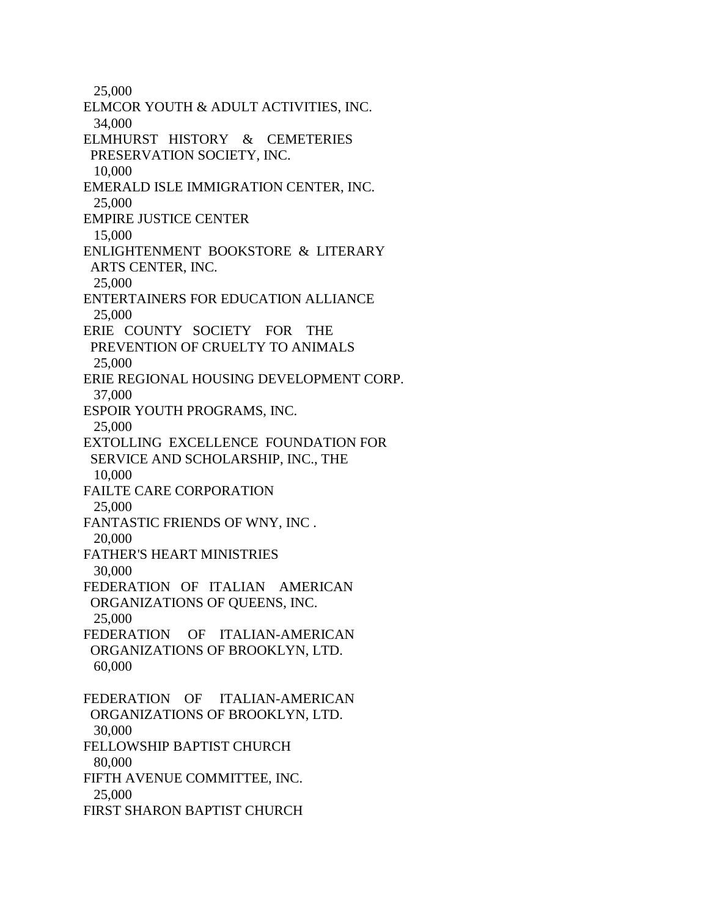25,000 ELMCOR YOUTH & ADULT ACTIVITIES, INC. 34,000 ELMHURST HISTORY & CEMETERIES PRESERVATION SOCIETY, INC. 10,000 EMERALD ISLE IMMIGRATION CENTER, INC. 25,000 EMPIRE JUSTICE CENTER 15,000 ENLIGHTENMENT BOOKSTORE & LITERARY ARTS CENTER, INC. 25,000 ENTERTAINERS FOR EDUCATION ALLIANCE 25,000 ERIE COUNTY SOCIETY FOR THE PREVENTION OF CRUELTY TO ANIMALS 25,000 ERIE REGIONAL HOUSING DEVELOPMENT CORP. 37,000 ESPOIR YOUTH PROGRAMS, INC. 25,000 EXTOLLING EXCELLENCE FOUNDATION FOR SERVICE AND SCHOLARSHIP, INC., THE 10,000 FAILTE CARE CORPORATION 25,000 FANTASTIC FRIENDS OF WNY, INC . 20,000 FATHER'S HEART MINISTRIES 30,000 FEDERATION OF ITALIAN AMERICAN ORGANIZATIONS OF QUEENS, INC. 25,000 FEDERATION OF ITALIAN-AMERICAN ORGANIZATIONS OF BROOKLYN, LTD. 60,000 FEDERATION OF ITALIAN-AMERICAN ORGANIZATIONS OF BROOKLYN, LTD. 30,000 FELLOWSHIP BAPTIST CHURCH 80,000 FIFTH AVENUE COMMITTEE, INC. 25,000 FIRST SHARON BAPTIST CHURCH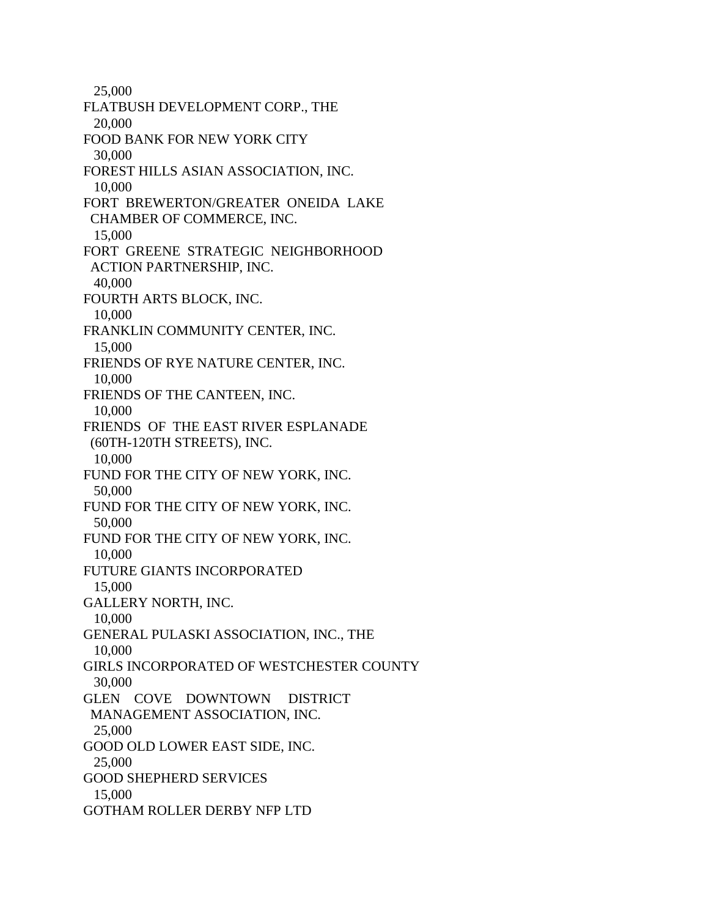25,000 FLATBUSH DEVELOPMENT CORP., THE 20,000 FOOD BANK FOR NEW YORK CITY 30,000 FOREST HILLS ASIAN ASSOCIATION, INC. 10,000 FORT BREWERTON/GREATER ONEIDA LAKE CHAMBER OF COMMERCE, INC. 15,000 FORT GREENE STRATEGIC NEIGHBORHOOD ACTION PARTNERSHIP, INC. 40,000 FOURTH ARTS BLOCK, INC. 10,000 FRANKLIN COMMUNITY CENTER, INC. 15,000 FRIENDS OF RYE NATURE CENTER, INC. 10,000 FRIENDS OF THE CANTEEN, INC. 10,000 FRIENDS OF THE EAST RIVER ESPLANADE (60TH-120TH STREETS), INC. 10,000 FUND FOR THE CITY OF NEW YORK, INC. 50,000 FUND FOR THE CITY OF NEW YORK, INC. 50,000 FUND FOR THE CITY OF NEW YORK, INC. 10,000 FUTURE GIANTS INCORPORATED 15,000 GALLERY NORTH, INC. 10,000 GENERAL PULASKI ASSOCIATION, INC., THE 10,000 GIRLS INCORPORATED OF WESTCHESTER COUNTY 30,000 GLEN COVE DOWNTOWN DISTRICT MANAGEMENT ASSOCIATION, INC. 25,000 GOOD OLD LOWER EAST SIDE, INC. 25,000 GOOD SHEPHERD SERVICES 15,000 GOTHAM ROLLER DERBY NFP LTD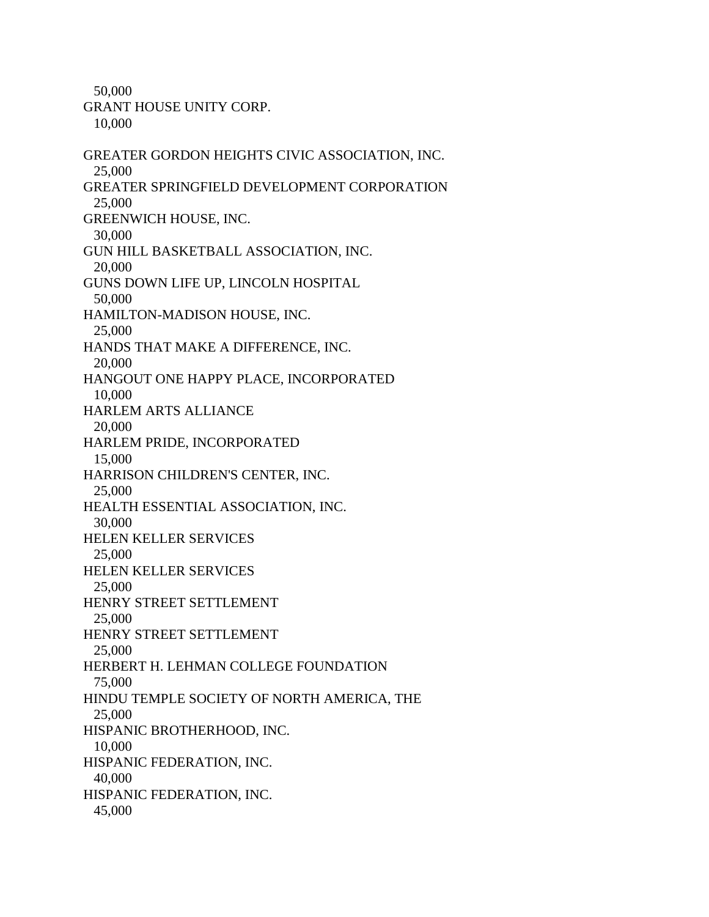50,000

GRANT HOUSE UNITY CORP.

10,000

GREATER GORDON HEIGHTS CIVIC ASSOCIATION, INC. 25,000 GREATER SPRINGFIELD DEVELOPMENT CORPORATION 25,000 GREENWICH HOUSE, INC. 30,000 GUN HILL BASKETBALL ASSOCIATION, INC. 20,000 GUNS DOWN LIFE UP, LINCOLN HOSPITAL 50,000 HAMILTON-MADISON HOUSE, INC. 25,000 HANDS THAT MAKE A DIFFERENCE, INC. 20,000 HANGOUT ONE HAPPY PLACE, INCORPORATED 10,000 HARLEM ARTS ALLIANCE 20,000 HARLEM PRIDE, INCORPORATED 15,000 HARRISON CHILDREN'S CENTER, INC. 25,000 HEALTH ESSENTIAL ASSOCIATION, INC. 30,000 HELEN KELLER SERVICES 25,000 HELEN KELLER SERVICES 25,000 HENRY STREET SETTLEMENT 25,000 HENRY STREET SETTLEMENT 25,000 HERBERT H. LEHMAN COLLEGE FOUNDATION 75,000 HINDU TEMPLE SOCIETY OF NORTH AMERICA, THE 25,000 HISPANIC BROTHERHOOD, INC. 10,000 HISPANIC FEDERATION, INC. 40,000 HISPANIC FEDERATION, INC. 45,000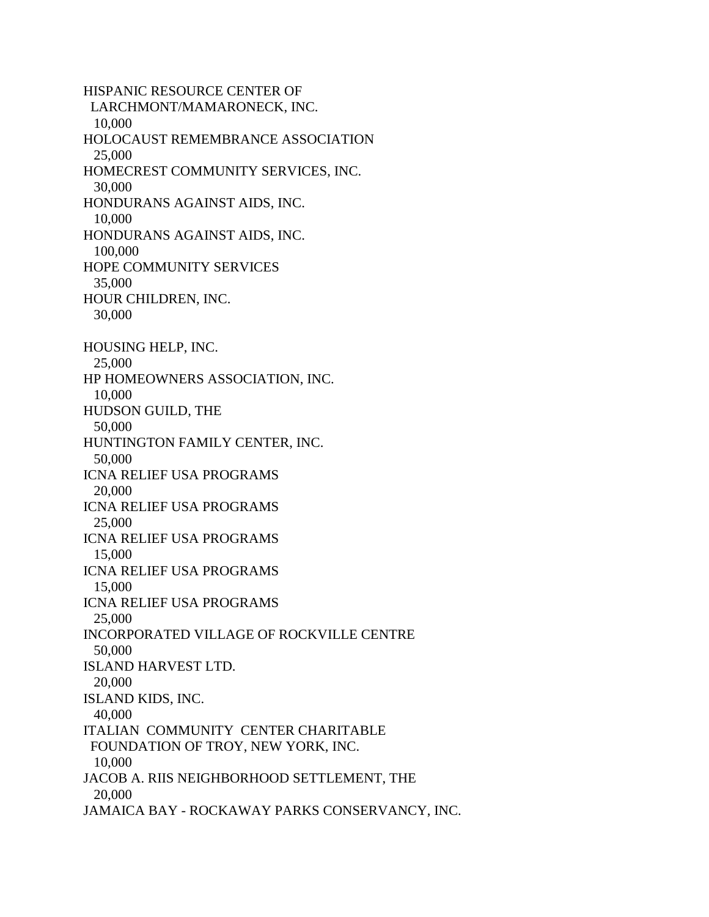HISPANIC RESOURCE CENTER OF LARCHMONT/MAMARONECK, INC. 10,000 HOLOCAUST REMEMBRANCE ASSOCIATION 25,000 HOMECREST COMMUNITY SERVICES, INC. 30,000 HONDURANS AGAINST AIDS, INC. 10,000 HONDURANS AGAINST AIDS, INC. 100,000 HOPE COMMUNITY SERVICES 35,000 HOUR CHILDREN, INC. 30,000 HOUSING HELP, INC. 25,000 HP HOMEOWNERS ASSOCIATION, INC. 10,000 HUDSON GUILD, THE 50,000 HUNTINGTON FAMILY CENTER, INC. 50,000 ICNA RELIEF USA PROGRAMS 20,000 ICNA RELIEF USA PROGRAMS 25,000 ICNA RELIEF USA PROGRAMS 15,000 ICNA RELIEF USA PROGRAMS 15,000 ICNA RELIEF USA PROGRAMS 25,000 INCORPORATED VILLAGE OF ROCKVILLE CENTRE 50,000 ISLAND HARVEST LTD. 20,000 ISLAND KIDS, INC. 40,000 ITALIAN COMMUNITY CENTER CHARITABLE FOUNDATION OF TROY, NEW YORK, INC. 10,000 JACOB A. RIIS NEIGHBORHOOD SETTLEMENT, THE 20,000 JAMAICA BAY - ROCKAWAY PARKS CONSERVANCY, INC.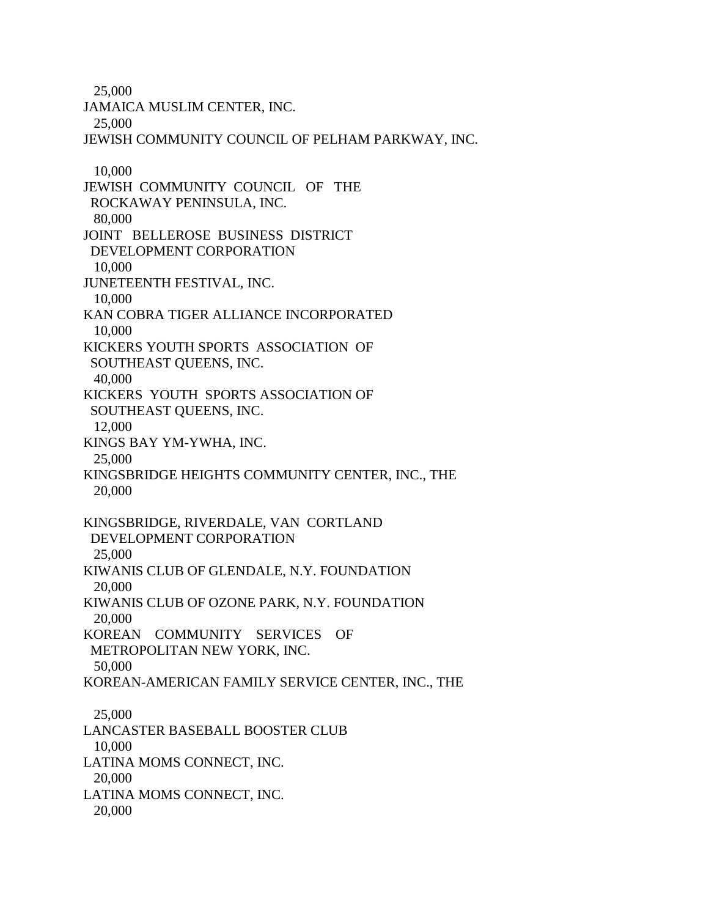25,000

JAMAICA MUSLIM CENTER, INC. 25,000 JEWISH COMMUNITY COUNCIL OF PELHAM PARKWAY, INC. 10,000 JEWISH COMMUNITY COUNCIL OF THE ROCKAWAY PENINSULA, INC. 80,000 JOINT BELLEROSE BUSINESS DISTRICT DEVELOPMENT CORPORATION 10,000 JUNETEENTH FESTIVAL, INC. 10,000 KAN COBRA TIGER ALLIANCE INCORPORATED 10,000 KICKERS YOUTH SPORTS ASSOCIATION OF SOUTHEAST QUEENS, INC. 40,000 KICKERS YOUTH SPORTS ASSOCIATION OF SOUTHEAST QUEENS, INC. 12,000 KINGS BAY YM-YWHA, INC. 25,000 KINGSBRIDGE HEIGHTS COMMUNITY CENTER, INC., THE 20,000 KINGSBRIDGE, RIVERDALE, VAN CORTLAND DEVELOPMENT CORPORATION 25,000 KIWANIS CLUB OF GLENDALE, N.Y. FOUNDATION 20,000 KIWANIS CLUB OF OZONE PARK, N.Y. FOUNDATION 20,000 KOREAN COMMUNITY SERVICES OF METROPOLITAN NEW YORK, INC. 50,000 KOREAN-AMERICAN FAMILY SERVICE CENTER, INC., THE 25,000 LANCASTER BASEBALL BOOSTER CLUB 10,000 LATINA MOMS CONNECT, INC. 20,000 LATINA MOMS CONNECT, INC. 20,000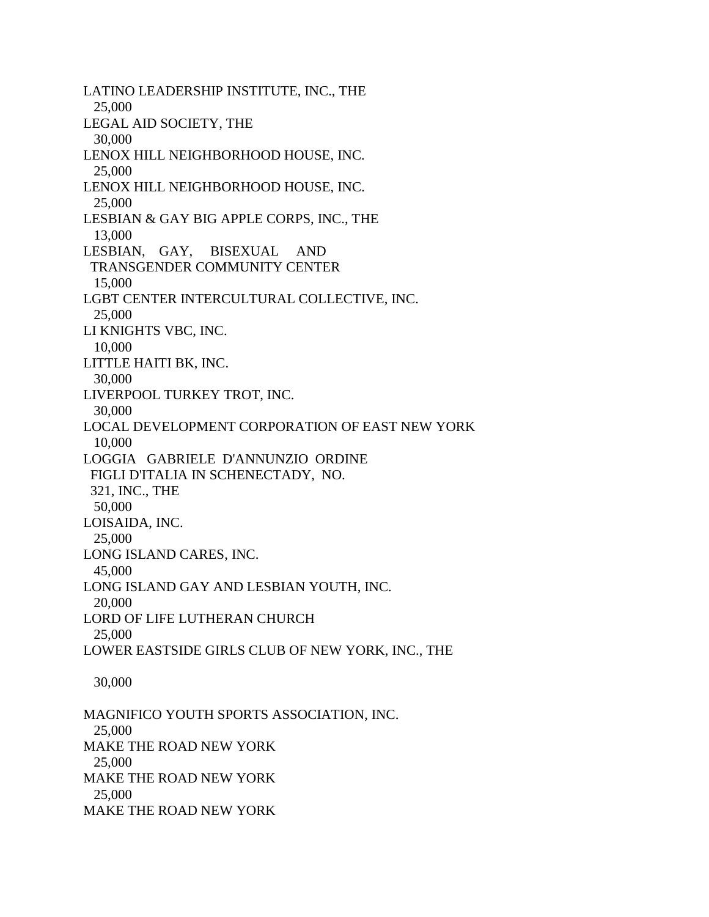LATINO LEADERSHIP INSTITUTE, INC., THE 25,000 LEGAL AID SOCIETY, THE 30,000 LENOX HILL NEIGHBORHOOD HOUSE, INC. 25,000 LENOX HILL NEIGHBORHOOD HOUSE, INC. 25,000 LESBIAN & GAY BIG APPLE CORPS, INC., THE 13,000 LESBIAN, GAY, BISEXUAL AND TRANSGENDER COMMUNITY CENTER 15,000 LGBT CENTER INTERCULTURAL COLLECTIVE, INC. 25,000 LI KNIGHTS VBC, INC. 10,000 LITTLE HAITI BK, INC. 30,000 LIVERPOOL TURKEY TROT, INC. 30,000 LOCAL DEVELOPMENT CORPORATION OF EAST NEW YORK 10,000 LOGGIA GABRIELE D'ANNUNZIO ORDINE FIGLI D'ITALIA IN SCHENECTADY, NO. 321, INC., THE 50,000 LOISAIDA, INC. 25,000 LONG ISLAND CARES, INC. 45,000 LONG ISLAND GAY AND LESBIAN YOUTH, INC. 20,000 LORD OF LIFE LUTHERAN CHURCH 25,000 LOWER EASTSIDE GIRLS CLUB OF NEW YORK, INC., THE 30,000 MAGNIFICO YOUTH SPORTS ASSOCIATION, INC. 25,000 MAKE THE ROAD NEW YORK 25,000

MAKE THE ROAD NEW YORK

25,000

MAKE THE ROAD NEW YORK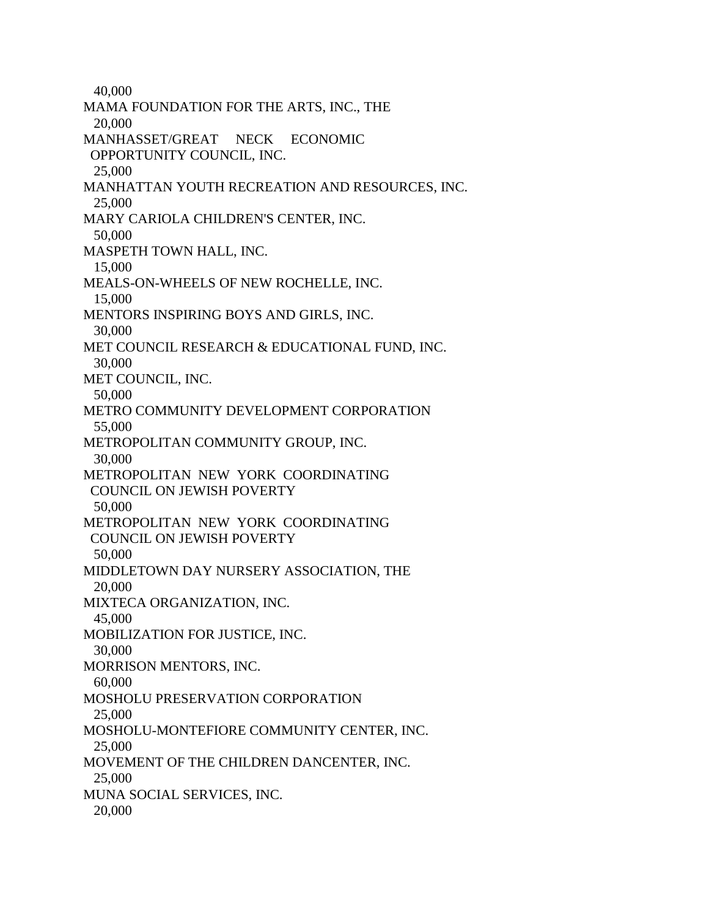40,000 MAMA FOUNDATION FOR THE ARTS, INC., THE 20,000 MANHASSET/GREAT NECK ECONOMIC OPPORTUNITY COUNCIL, INC. 25,000 MANHATTAN YOUTH RECREATION AND RESOURCES, INC. 25,000 MARY CARIOLA CHILDREN'S CENTER, INC. 50,000 MASPETH TOWN HALL, INC. 15,000 MEALS-ON-WHEELS OF NEW ROCHELLE, INC. 15,000 MENTORS INSPIRING BOYS AND GIRLS, INC. 30,000 MET COUNCIL RESEARCH & EDUCATIONAL FUND, INC. 30,000 MET COUNCIL, INC. 50,000 METRO COMMUNITY DEVELOPMENT CORPORATION 55,000 METROPOLITAN COMMUNITY GROUP, INC. 30,000 METROPOLITAN NEW YORK COORDINATING COUNCIL ON JEWISH POVERTY 50,000 METROPOLITAN NEW YORK COORDINATING COUNCIL ON JEWISH POVERTY 50,000 MIDDLETOWN DAY NURSERY ASSOCIATION, THE 20,000 MIXTECA ORGANIZATION, INC. 45,000 MOBILIZATION FOR JUSTICE, INC. 30,000 MORRISON MENTORS, INC. 60,000 MOSHOLU PRESERVATION CORPORATION 25,000 MOSHOLU-MONTEFIORE COMMUNITY CENTER, INC. 25,000 MOVEMENT OF THE CHILDREN DANCENTER, INC. 25,000 MUNA SOCIAL SERVICES, INC. 20,000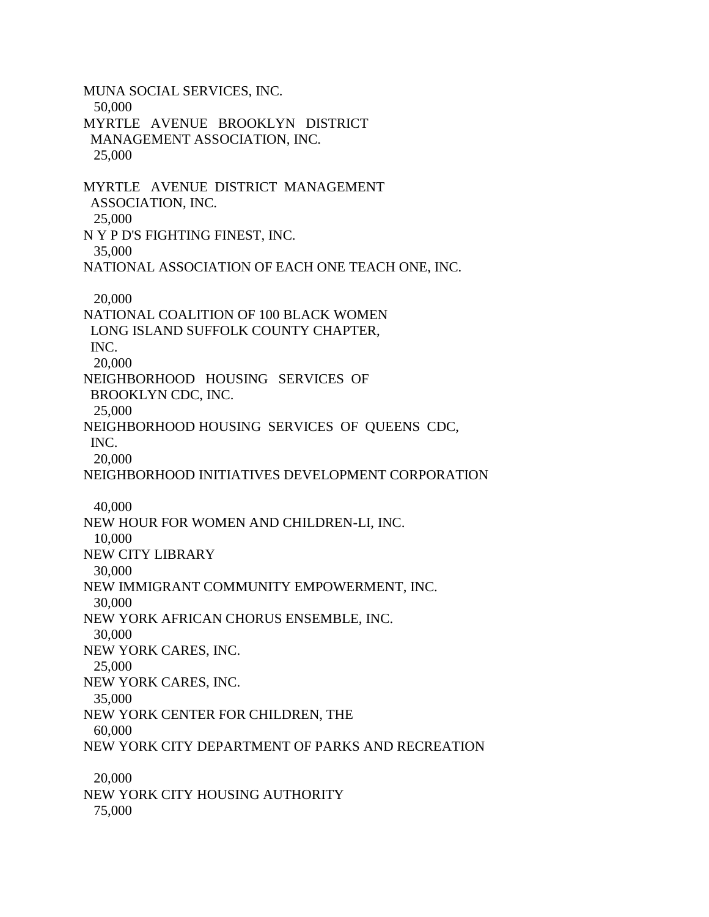MUNA SOCIAL SERVICES, INC. 50,000 MYRTLE AVENUE BROOKLYN DISTRICT MANAGEMENT ASSOCIATION, INC. 25,000 MYRTLE AVENUE DISTRICT MANAGEMENT ASSOCIATION, INC. 25,000 N Y P D'S FIGHTING FINEST, INC. 35,000 NATIONAL ASSOCIATION OF EACH ONE TEACH ONE, INC. 20,000 NATIONAL COALITION OF 100 BLACK WOMEN LONG ISLAND SUFFOLK COUNTY CHAPTER, INC. 20,000 NEIGHBORHOOD HOUSING SERVICES OF BROOKLYN CDC, INC. 25,000 NEIGHBORHOOD HOUSING SERVICES OF QUEENS CDC, INC. 20,000 NEIGHBORHOOD INITIATIVES DEVELOPMENT CORPORATION 40,000 NEW HOUR FOR WOMEN AND CHILDREN-LI, INC. 10,000 NEW CITY LIBRARY 30,000 NEW IMMIGRANT COMMUNITY EMPOWERMENT, INC. 30,000 NEW YORK AFRICAN CHORUS ENSEMBLE, INC. 30,000 NEW YORK CARES, INC. 25,000 NEW YORK CARES, INC. 35,000 NEW YORK CENTER FOR CHILDREN, THE 60,000 NEW YORK CITY DEPARTMENT OF PARKS AND RECREATION 20,000 NEW YORK CITY HOUSING AUTHORITY 75,000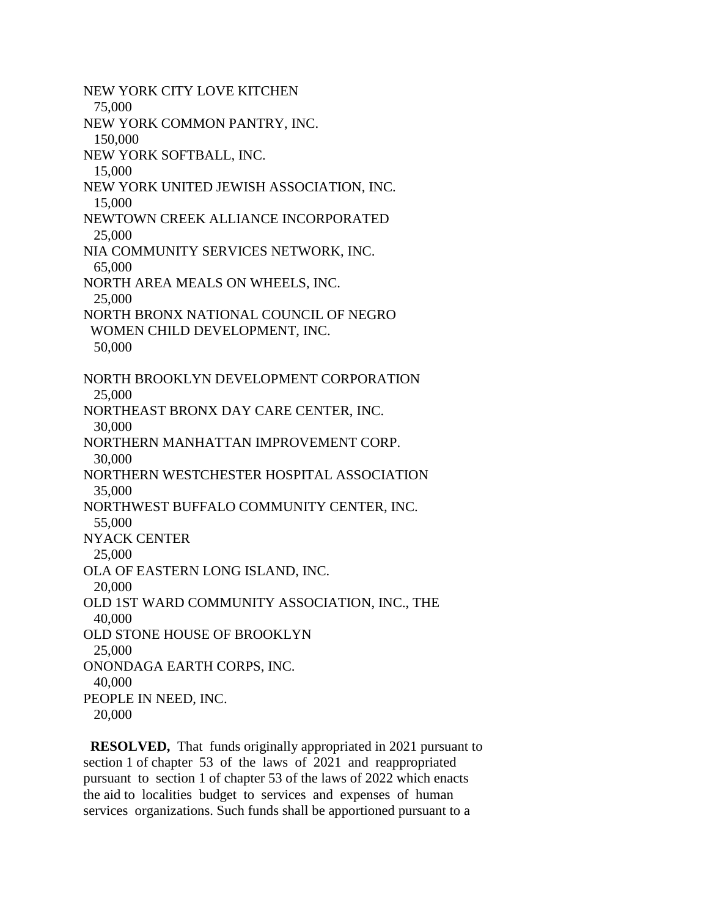NEW YORK CITY LOVE KITCHEN 75,000 NEW YORK COMMON PANTRY, INC. 150,000 NEW YORK SOFTBALL, INC. 15,000 NEW YORK UNITED JEWISH ASSOCIATION, INC. 15,000 NEWTOWN CREEK ALLIANCE INCORPORATED 25,000 NIA COMMUNITY SERVICES NETWORK, INC. 65,000 NORTH AREA MEALS ON WHEELS, INC. 25,000 NORTH BRONX NATIONAL COUNCIL OF NEGRO WOMEN CHILD DEVELOPMENT, INC. 50,000 NORTH BROOKLYN DEVELOPMENT CORPORATION 25,000 NORTHEAST BRONX DAY CARE CENTER, INC. 30,000 NORTHERN MANHATTAN IMPROVEMENT CORP. 30,000 NORTHERN WESTCHESTER HOSPITAL ASSOCIATION 35,000 NORTHWEST BUFFALO COMMUNITY CENTER, INC. 55,000 NYACK CENTER 25,000 OLA OF EASTERN LONG ISLAND, INC. 20,000 OLD 1ST WARD COMMUNITY ASSOCIATION, INC., THE 40,000 OLD STONE HOUSE OF BROOKLYN 25,000 ONONDAGA EARTH CORPS, INC. 40,000 PEOPLE IN NEED, INC. 20,000

 **RESOLVED,** That funds originally appropriated in 2021 pursuant to section 1 of chapter 53 of the laws of 2021 and reappropriated pursuant to section 1 of chapter 53 of the laws of 2022 which enacts the aid to localities budget to services and expenses of human services organizations. Such funds shall be apportioned pursuant to a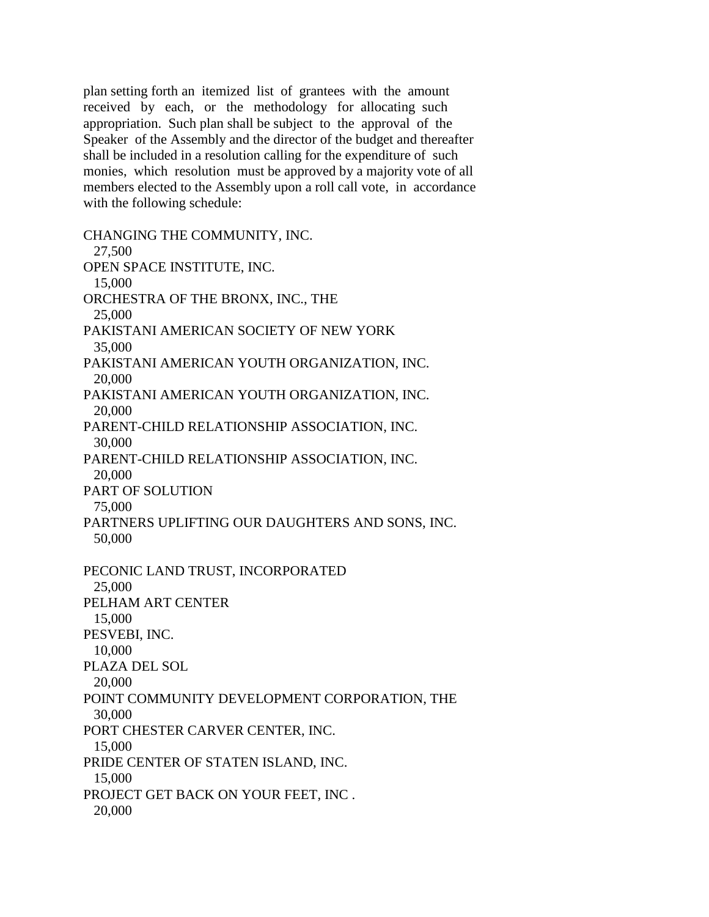plan setting forth an itemized list of grantees with the amount received by each, or the methodology for allocating such appropriation. Such plan shall be subject to the approval of the Speaker of the Assembly and the director of the budget and thereafter shall be included in a resolution calling for the expenditure of such monies, which resolution must be approved by a majority vote of all members elected to the Assembly upon a roll call vote, in accordance with the following schedule:

CHANGING THE COMMUNITY, INC. 27,500 OPEN SPACE INSTITUTE, INC. 15,000 ORCHESTRA OF THE BRONX, INC., THE 25,000 PAKISTANI AMERICAN SOCIETY OF NEW YORK 35,000 PAKISTANI AMERICAN YOUTH ORGANIZATION, INC. 20,000 PAKISTANI AMERICAN YOUTH ORGANIZATION, INC. 20,000 PARENT-CHILD RELATIONSHIP ASSOCIATION, INC. 30,000 PARENT-CHILD RELATIONSHIP ASSOCIATION, INC. 20,000 PART OF SOLUTION 75,000 PARTNERS UPLIFTING OUR DAUGHTERS AND SONS, INC. 50,000 PECONIC LAND TRUST, INCORPORATED 25,000 PELHAM ART CENTER 15,000 PESVEBI, INC. 10,000 PLAZA DEL SOL 20,000 POINT COMMUNITY DEVELOPMENT CORPORATION, THE 30,000 PORT CHESTER CARVER CENTER, INC. 15,000 PRIDE CENTER OF STATEN ISLAND, INC. 15,000 PROJECT GET BACK ON YOUR FEET, INC . 20,000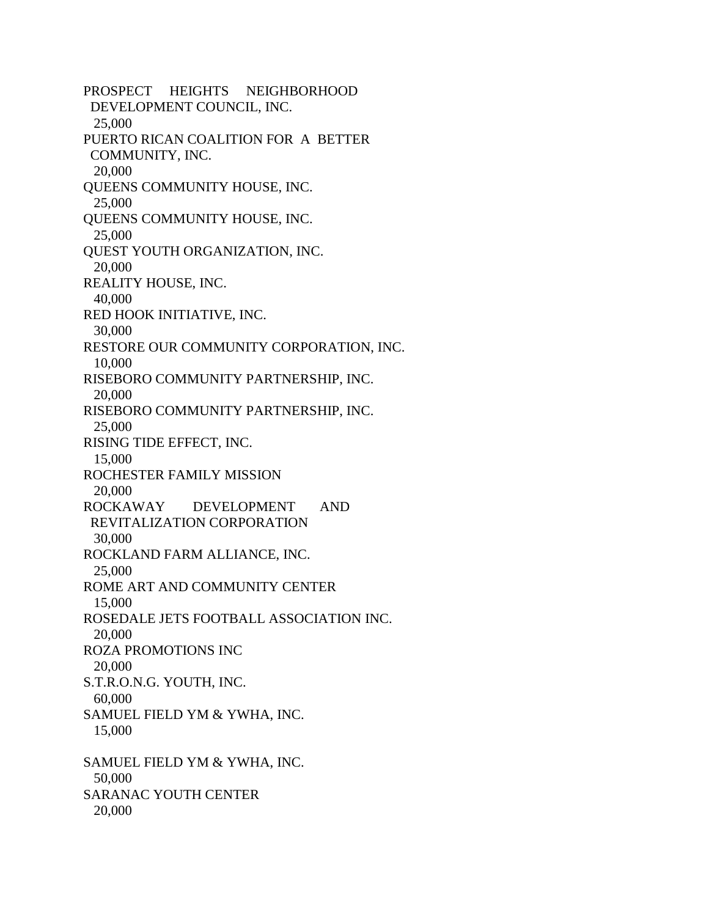PROSPECT HEIGHTS NEIGHBORHOOD DEVELOPMENT COUNCIL, INC. 25,000 PUERTO RICAN COALITION FOR A BETTER COMMUNITY, INC. 20,000 QUEENS COMMUNITY HOUSE, INC. 25,000 QUEENS COMMUNITY HOUSE, INC. 25,000 QUEST YOUTH ORGANIZATION, INC. 20,000 REALITY HOUSE, INC. 40,000 RED HOOK INITIATIVE, INC. 30,000 RESTORE OUR COMMUNITY CORPORATION, INC. 10,000 RISEBORO COMMUNITY PARTNERSHIP, INC. 20,000 RISEBORO COMMUNITY PARTNERSHIP, INC. 25,000 RISING TIDE EFFECT, INC. 15,000 ROCHESTER FAMILY MISSION 20,000 ROCKAWAY DEVELOPMENT AND REVITALIZATION CORPORATION 30,000 ROCKLAND FARM ALLIANCE, INC. 25,000 ROME ART AND COMMUNITY CENTER 15,000 ROSEDALE JETS FOOTBALL ASSOCIATION INC. 20,000 ROZA PROMOTIONS INC 20,000 S.T.R.O.N.G. YOUTH, INC. 60,000 SAMUEL FIELD YM & YWHA, INC. 15,000 SAMUEL FIELD YM & YWHA, INC. 50,000 SARANAC YOUTH CENTER 20,000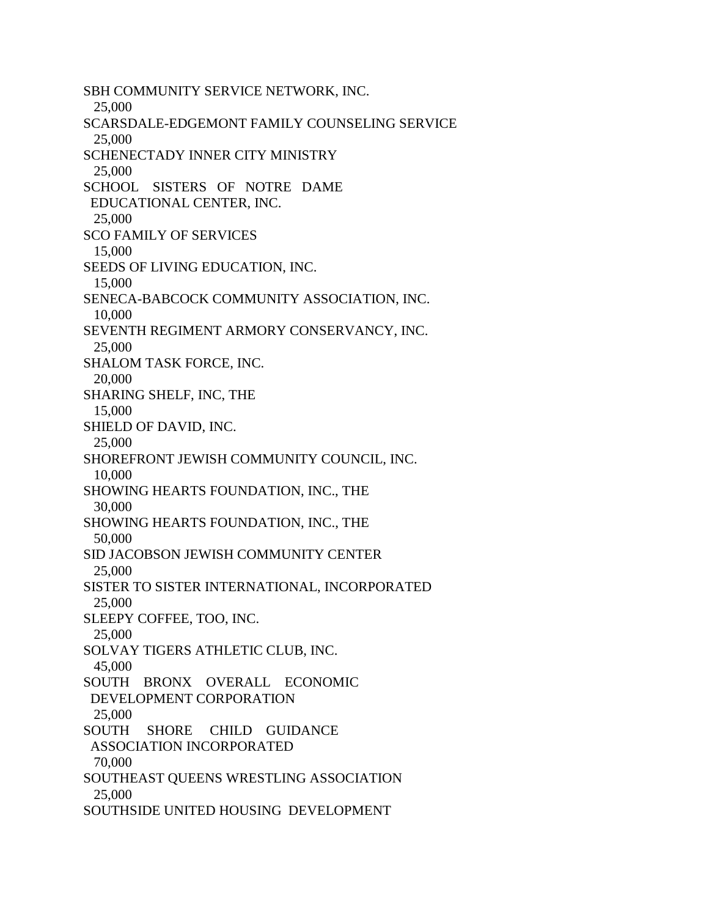SBH COMMUNITY SERVICE NETWORK, INC. 25,000 SCARSDALE-EDGEMONT FAMILY COUNSELING SERVICE 25,000 SCHENECTADY INNER CITY MINISTRY 25,000 SCHOOL SISTERS OF NOTRE DAME EDUCATIONAL CENTER, INC. 25,000 SCO FAMILY OF SERVICES 15,000 SEEDS OF LIVING EDUCATION, INC. 15,000 SENECA-BABCOCK COMMUNITY ASSOCIATION, INC. 10,000 SEVENTH REGIMENT ARMORY CONSERVANCY, INC. 25,000 SHALOM TASK FORCE, INC. 20,000 SHARING SHELF, INC, THE 15,000 SHIELD OF DAVID, INC. 25,000 SHOREFRONT JEWISH COMMUNITY COUNCIL, INC. 10,000 SHOWING HEARTS FOUNDATION, INC., THE 30,000 SHOWING HEARTS FOUNDATION, INC., THE 50,000 SID JACOBSON JEWISH COMMUNITY CENTER 25,000 SISTER TO SISTER INTERNATIONAL, INCORPORATED 25,000 SLEEPY COFFEE, TOO, INC. 25,000 SOLVAY TIGERS ATHLETIC CLUB, INC. 45,000 SOUTH BRONX OVERALL ECONOMIC DEVELOPMENT CORPORATION 25,000 SOUTH SHORE CHILD GUIDANCE ASSOCIATION INCORPORATED 70,000 SOUTHEAST QUEENS WRESTLING ASSOCIATION 25,000 SOUTHSIDE UNITED HOUSING DEVELOPMENT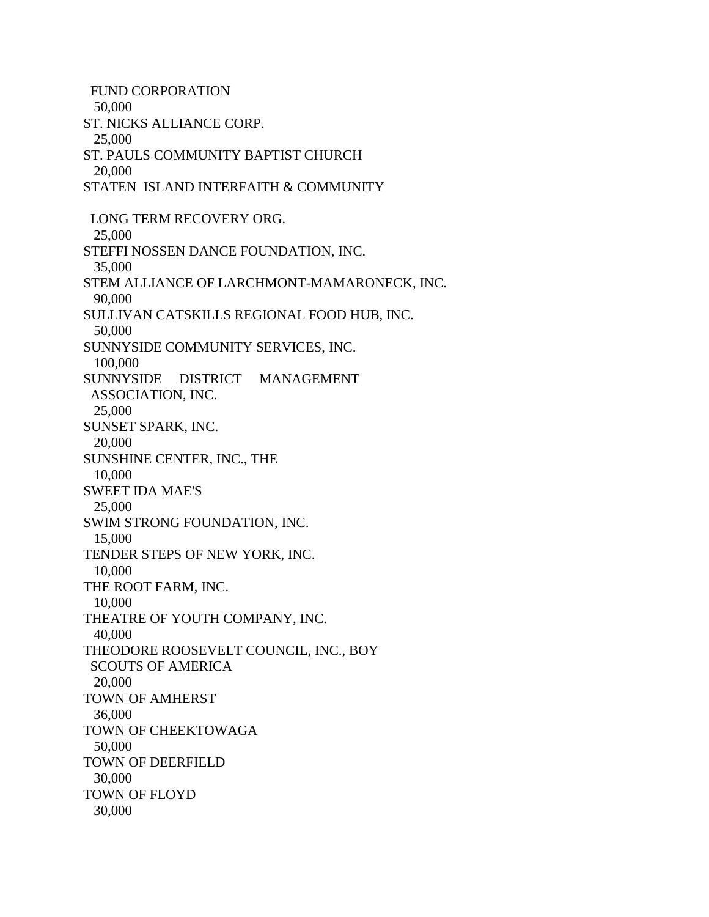FUND CORPORATION 50,000 ST. NICKS ALLIANCE CORP. 25,000 ST. PAULS COMMUNITY BAPTIST CHURCH 20,000 STATEN ISLAND INTERFAITH & COMMUNITY LONG TERM RECOVERY ORG. 25,000 STEFFI NOSSEN DANCE FOUNDATION, INC. 35,000 STEM ALLIANCE OF LARCHMONT-MAMARONECK, INC. 90,000 SULLIVAN CATSKILLS REGIONAL FOOD HUB, INC. 50,000 SUNNYSIDE COMMUNITY SERVICES, INC. 100,000 SUNNYSIDE DISTRICT MANAGEMENT ASSOCIATION, INC. 25,000 SUNSET SPARK, INC. 20,000 SUNSHINE CENTER, INC., THE 10,000 SWEET IDA MAE'S 25,000 SWIM STRONG FOUNDATION, INC. 15,000 TENDER STEPS OF NEW YORK, INC. 10,000 THE ROOT FARM, INC. 10,000 THEATRE OF YOUTH COMPANY, INC. 40,000 THEODORE ROOSEVELT COUNCIL, INC., BOY SCOUTS OF AMERICA 20,000 TOWN OF AMHERST 36,000 TOWN OF CHEEKTOWAGA 50,000 TOWN OF DEERFIELD 30,000 TOWN OF FLOYD 30,000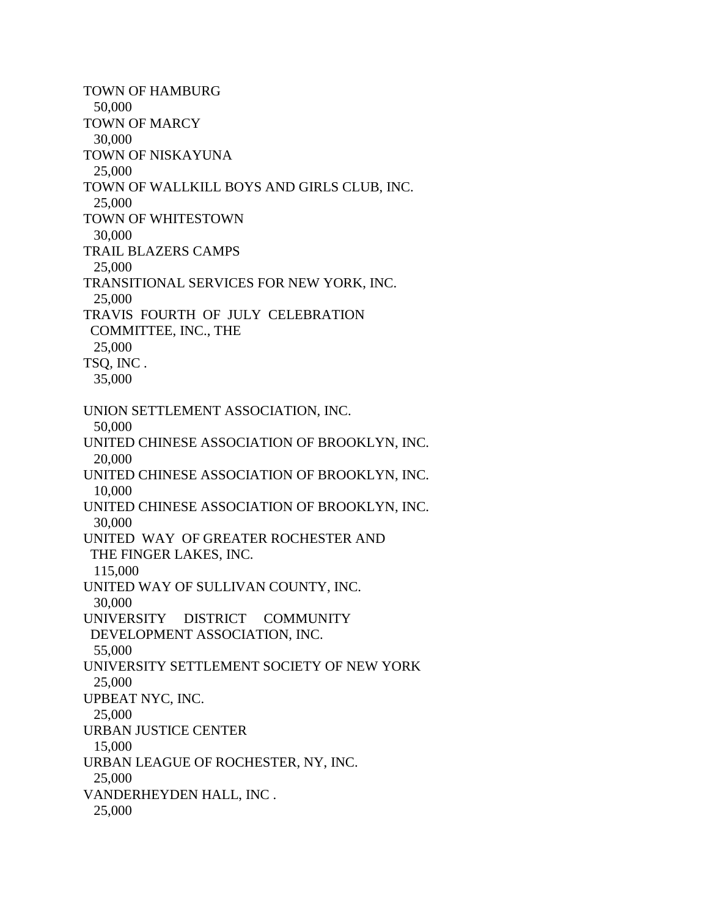TOWN OF HAMBURG 50,000 TOWN OF MARCY 30,000 TOWN OF NISKAYUNA 25,000 TOWN OF WALLKILL BOYS AND GIRLS CLUB, INC. 25,000 TOWN OF WHITESTOWN 30,000 TRAIL BLAZERS CAMPS 25,000 TRANSITIONAL SERVICES FOR NEW YORK, INC. 25,000 TRAVIS FOURTH OF JULY CELEBRATION COMMITTEE, INC., THE 25,000 TSQ, INC . 35,000 UNION SETTLEMENT ASSOCIATION, INC. 50,000 UNITED CHINESE ASSOCIATION OF BROOKLYN, INC. 20,000 UNITED CHINESE ASSOCIATION OF BROOKLYN, INC. 10,000 UNITED CHINESE ASSOCIATION OF BROOKLYN, INC. 30,000 UNITED WAY OF GREATER ROCHESTER AND THE FINGER LAKES, INC. 115,000 UNITED WAY OF SULLIVAN COUNTY, INC. 30,000 UNIVERSITY DISTRICT COMMUNITY DEVELOPMENT ASSOCIATION, INC. 55,000 UNIVERSITY SETTLEMENT SOCIETY OF NEW YORK 25,000 UPBEAT NYC, INC. 25,000 URBAN JUSTICE CENTER 15,000 URBAN LEAGUE OF ROCHESTER, NY, INC. 25,000 VANDERHEYDEN HALL, INC . 25,000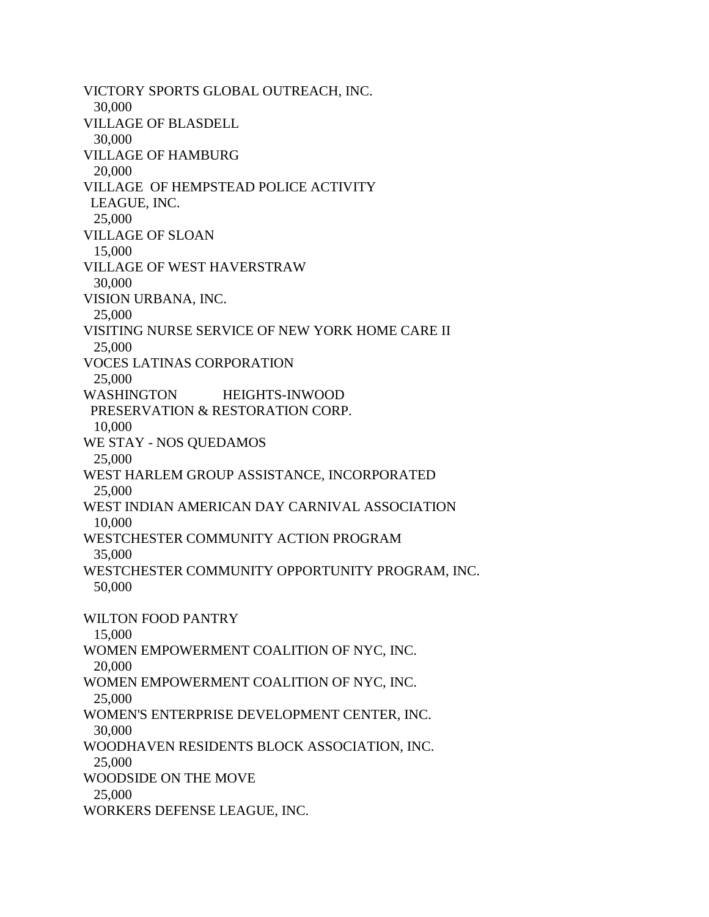VICTORY SPORTS GLOBAL OUTREACH, INC. 30,000 VILLAGE OF BLASDELL 30,000 VILLAGE OF HAMBURG 20,000 VILLAGE OF HEMPSTEAD POLICE ACTIVITY LEAGUE, INC. 25,000 VILLAGE OF SLOAN 15,000 VILLAGE OF WEST HAVERSTRAW 30,000 VISION URBANA, INC. 25,000 VISITING NURSE SERVICE OF NEW YORK HOME CARE II 25,000 VOCES LATINAS CORPORATION 25,000 WASHINGTON HEIGHTS-INWOOD PRESERVATION & RESTORATION CORP. 10,000 WE STAY - NOS QUEDAMOS 25,000 WEST HARLEM GROUP ASSISTANCE, INCORPORATED 25,000 WEST INDIAN AMERICAN DAY CARNIVAL ASSOCIATION 10,000 WESTCHESTER COMMUNITY ACTION PROGRAM 35,000 WESTCHESTER COMMUNITY OPPORTUNITY PROGRAM, INC. 50,000 WILTON FOOD PANTRY 15,000 WOMEN EMPOWERMENT COALITION OF NYC, INC. 20,000 WOMEN EMPOWERMENT COALITION OF NYC, INC. 25,000 WOMEN'S ENTERPRISE DEVELOPMENT CENTER, INC. 30,000 WOODHAVEN RESIDENTS BLOCK ASSOCIATION, INC. 25,000 WOODSIDE ON THE MOVE 25,000 WORKERS DEFENSE LEAGUE, INC.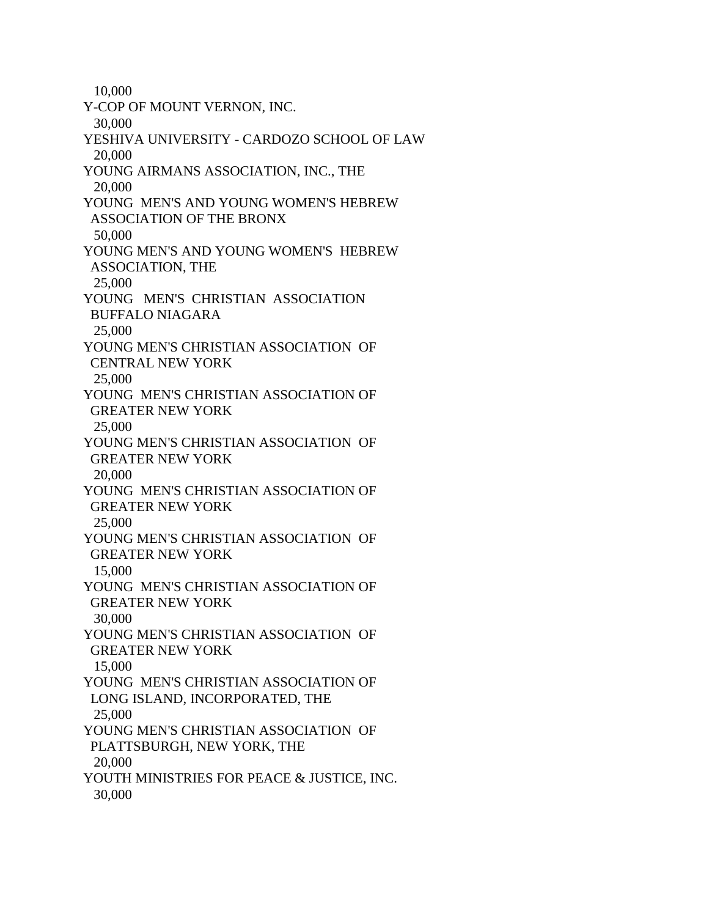10,000 Y-COP OF MOUNT VERNON, INC. 30,000 YESHIVA UNIVERSITY - CARDOZO SCHOOL OF LAW 20,000 YOUNG AIRMANS ASSOCIATION, INC., THE 20,000 YOUNG MEN'S AND YOUNG WOMEN'S HEBREW ASSOCIATION OF THE BRONX 50,000 YOUNG MEN'S AND YOUNG WOMEN'S HEBREW ASSOCIATION, THE 25,000 YOUNG MEN'S CHRISTIAN ASSOCIATION BUFFALO NIAGARA 25,000 YOUNG MEN'S CHRISTIAN ASSOCIATION OF CENTRAL NEW YORK 25,000 YOUNG MEN'S CHRISTIAN ASSOCIATION OF GREATER NEW YORK 25,000 YOUNG MEN'S CHRISTIAN ASSOCIATION OF GREATER NEW YORK 20,000 YOUNG MEN'S CHRISTIAN ASSOCIATION OF GREATER NEW YORK 25,000 YOUNG MEN'S CHRISTIAN ASSOCIATION OF GREATER NEW YORK 15,000 YOUNG MEN'S CHRISTIAN ASSOCIATION OF GREATER NEW YORK 30,000 YOUNG MEN'S CHRISTIAN ASSOCIATION OF GREATER NEW YORK 15,000 YOUNG MEN'S CHRISTIAN ASSOCIATION OF LONG ISLAND, INCORPORATED, THE 25,000 YOUNG MEN'S CHRISTIAN ASSOCIATION OF PLATTSBURGH, NEW YORK, THE 20,000 YOUTH MINISTRIES FOR PEACE & JUSTICE, INC. 30,000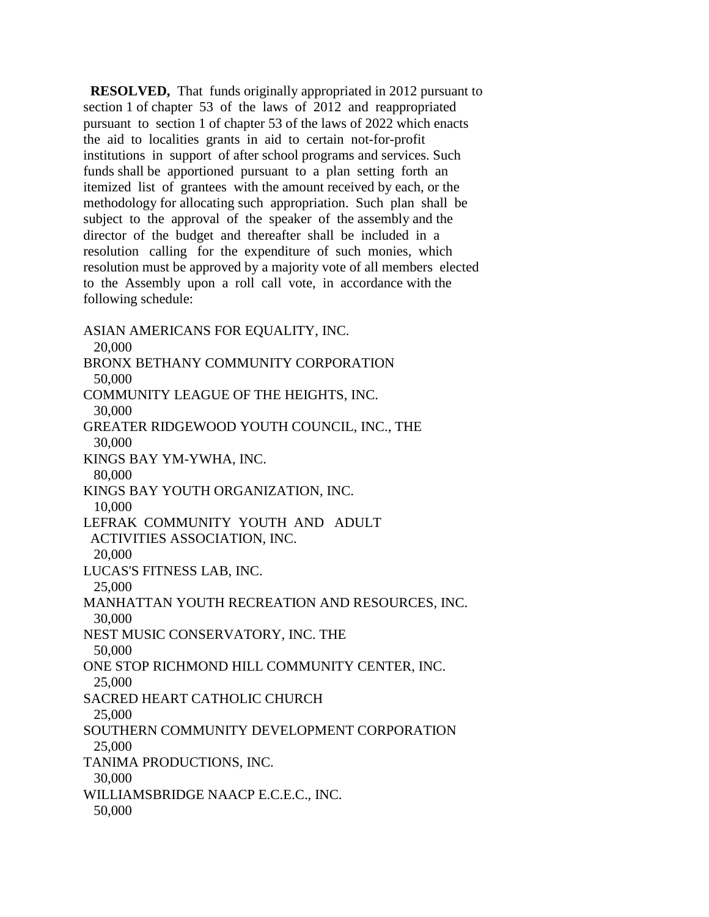**RESOLVED,** That funds originally appropriated in 2012 pursuant to section 1 of chapter 53 of the laws of 2012 and reappropriated pursuant to section 1 of chapter 53 of the laws of 2022 which enacts the aid to localities grants in aid to certain not-for-profit institutions in support of after school programs and services. Such funds shall be apportioned pursuant to a plan setting forth an itemized list of grantees with the amount received by each, or the methodology for allocating such appropriation. Such plan shall be subject to the approval of the speaker of the assembly and the director of the budget and thereafter shall be included in a resolution calling for the expenditure of such monies, which resolution must be approved by a majority vote of all members elected to the Assembly upon a roll call vote, in accordance with the following schedule:

ASIAN AMERICANS FOR EQUALITY, INC. 20,000 BRONX BETHANY COMMUNITY CORPORATION 50,000 COMMUNITY LEAGUE OF THE HEIGHTS, INC. 30,000 GREATER RIDGEWOOD YOUTH COUNCIL, INC., THE 30,000 KINGS BAY YM-YWHA, INC. 80,000 KINGS BAY YOUTH ORGANIZATION, INC. 10,000 LEFRAK COMMUNITY YOUTH AND ADULT ACTIVITIES ASSOCIATION, INC. 20,000 LUCAS'S FITNESS LAB, INC. 25,000 MANHATTAN YOUTH RECREATION AND RESOURCES, INC. 30,000 NEST MUSIC CONSERVATORY, INC. THE 50,000 ONE STOP RICHMOND HILL COMMUNITY CENTER, INC. 25,000 SACRED HEART CATHOLIC CHURCH 25,000 SOUTHERN COMMUNITY DEVELOPMENT CORPORATION 25,000 TANIMA PRODUCTIONS, INC. 30,000 WILLIAMSBRIDGE NAACP E.C.E.C., INC. 50,000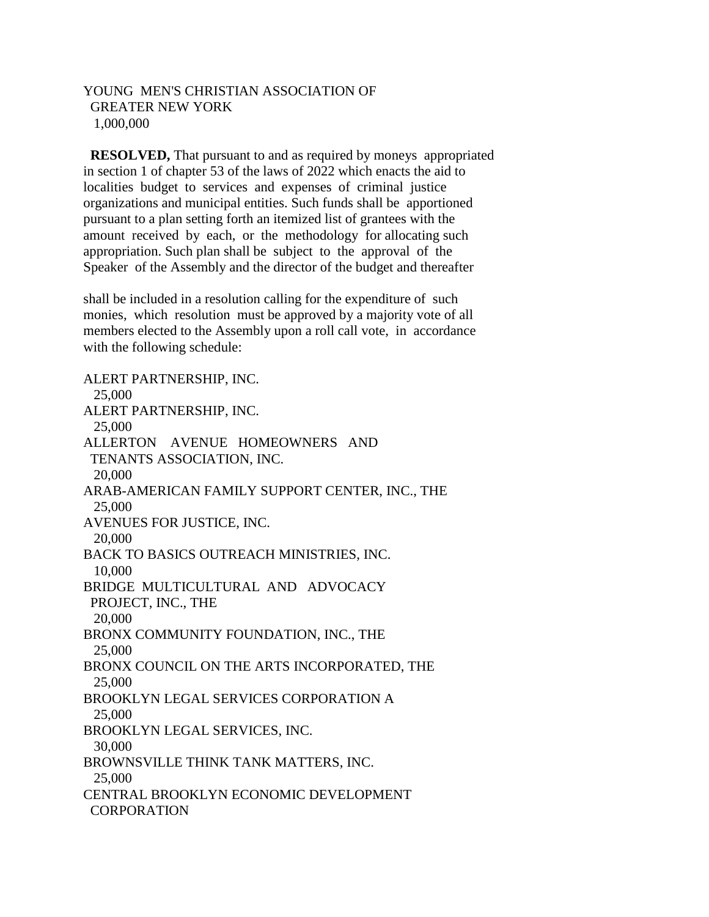## YOUNG MEN'S CHRISTIAN ASSOCIATION OF GREATER NEW YORK 1,000,000

 **RESOLVED,** That pursuant to and as required by moneys appropriated in section 1 of chapter 53 of the laws of 2022 which enacts the aid to localities budget to services and expenses of criminal justice organizations and municipal entities. Such funds shall be apportioned pursuant to a plan setting forth an itemized list of grantees with the amount received by each, or the methodology for allocating such appropriation. Such plan shall be subject to the approval of the Speaker of the Assembly and the director of the budget and thereafter

shall be included in a resolution calling for the expenditure of such monies, which resolution must be approved by a majority vote of all members elected to the Assembly upon a roll call vote, in accordance with the following schedule:

ALERT PARTNERSHIP, INC. 25,000 ALERT PARTNERSHIP, INC. 25,000 ALLERTON AVENUE HOMEOWNERS AND TENANTS ASSOCIATION, INC. 20,000 ARAB-AMERICAN FAMILY SUPPORT CENTER, INC., THE 25,000 AVENUES FOR JUSTICE, INC. 20,000 BACK TO BASICS OUTREACH MINISTRIES, INC. 10,000 BRIDGE MULTICULTURAL AND ADVOCACY PROJECT, INC., THE 20,000 BRONX COMMUNITY FOUNDATION, INC., THE 25,000 BRONX COUNCIL ON THE ARTS INCORPORATED, THE 25,000 BROOKLYN LEGAL SERVICES CORPORATION A 25,000 BROOKLYN LEGAL SERVICES, INC. 30,000 BROWNSVILLE THINK TANK MATTERS, INC. 25,000 CENTRAL BROOKLYN ECONOMIC DEVELOPMENT CORPORATION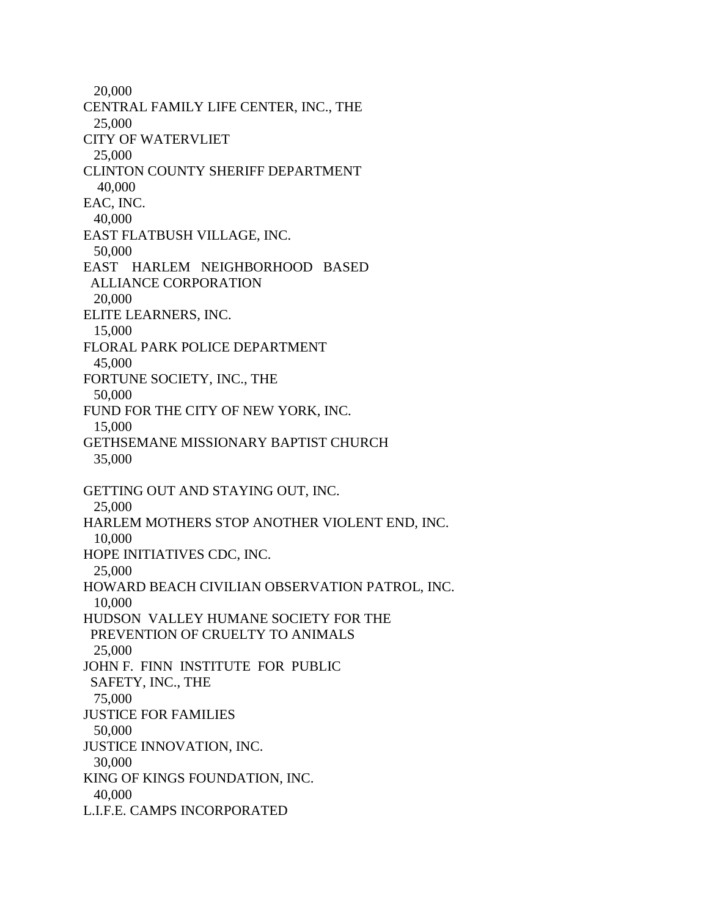20,000 CENTRAL FAMILY LIFE CENTER, INC., THE 25,000 CITY OF WATERVLIET 25,000 CLINTON COUNTY SHERIFF DEPARTMENT 40,000 EAC, INC. 40,000 EAST FLATBUSH VILLAGE, INC. 50,000 EAST HARLEM NEIGHBORHOOD BASED ALLIANCE CORPORATION 20,000 ELITE LEARNERS, INC. 15,000 FLORAL PARK POLICE DEPARTMENT 45,000 FORTUNE SOCIETY, INC., THE 50,000 FUND FOR THE CITY OF NEW YORK, INC. 15,000 GETHSEMANE MISSIONARY BAPTIST CHURCH 35,000 GETTING OUT AND STAYING OUT, INC. 25,000 HARLEM MOTHERS STOP ANOTHER VIOLENT END, INC. 10,000 HOPE INITIATIVES CDC, INC. 25,000 HOWARD BEACH CIVILIAN OBSERVATION PATROL, INC. 10,000 HUDSON VALLEY HUMANE SOCIETY FOR THE PREVENTION OF CRUELTY TO ANIMALS 25,000 JOHN F. FINN INSTITUTE FOR PUBLIC SAFETY, INC., THE 75,000 JUSTICE FOR FAMILIES 50,000 JUSTICE INNOVATION, INC. 30,000 KING OF KINGS FOUNDATION, INC. 40,000 L.I.F.E. CAMPS INCORPORATED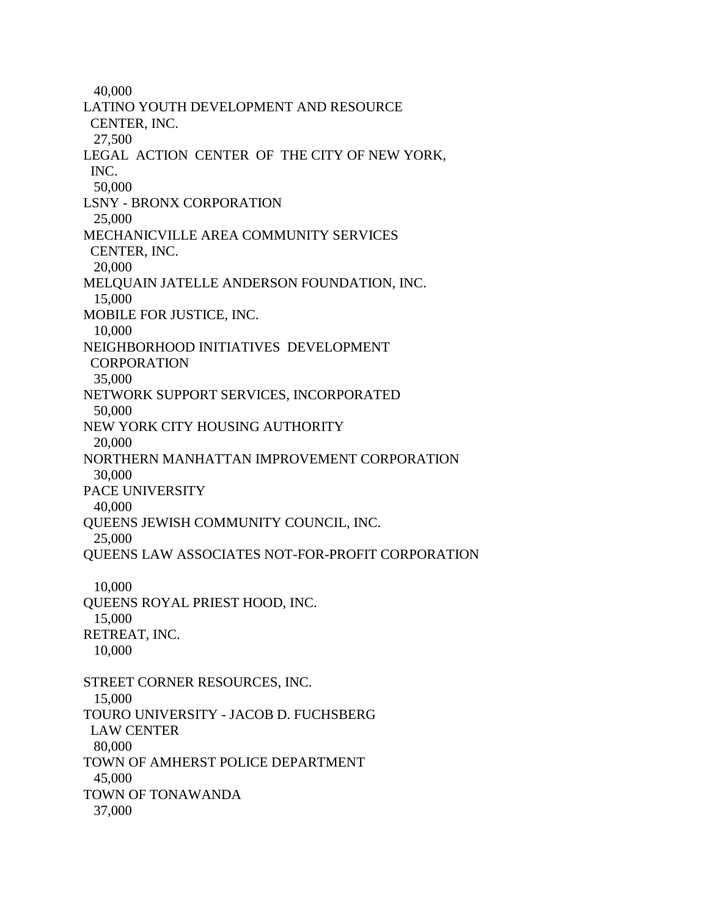40,000 LATINO YOUTH DEVELOPMENT AND RESOURCE CENTER, INC. 27,500 LEGAL ACTION CENTER OF THE CITY OF NEW YORK, INC. 50,000 LSNY - BRONX CORPORATION 25,000 MECHANICVILLE AREA COMMUNITY SERVICES CENTER, INC. 20,000 MELQUAIN JATELLE ANDERSON FOUNDATION, INC. 15,000 MOBILE FOR JUSTICE, INC. 10,000 NEIGHBORHOOD INITIATIVES DEVELOPMENT **CORPORATION**  35,000 NETWORK SUPPORT SERVICES, INCORPORATED 50,000 NEW YORK CITY HOUSING AUTHORITY 20,000 NORTHERN MANHATTAN IMPROVEMENT CORPORATION 30,000 PACE UNIVERSITY 40,000 QUEENS JEWISH COMMUNITY COUNCIL, INC. 25,000 QUEENS LAW ASSOCIATES NOT-FOR-PROFIT CORPORATION 10,000 QUEENS ROYAL PRIEST HOOD, INC. 15,000 RETREAT, INC. 10,000 STREET CORNER RESOURCES, INC. 15,000 TOURO UNIVERSITY - JACOB D. FUCHSBERG LAW CENTER 80,000 TOWN OF AMHERST POLICE DEPARTMENT 45,000 TOWN OF TONAWANDA 37,000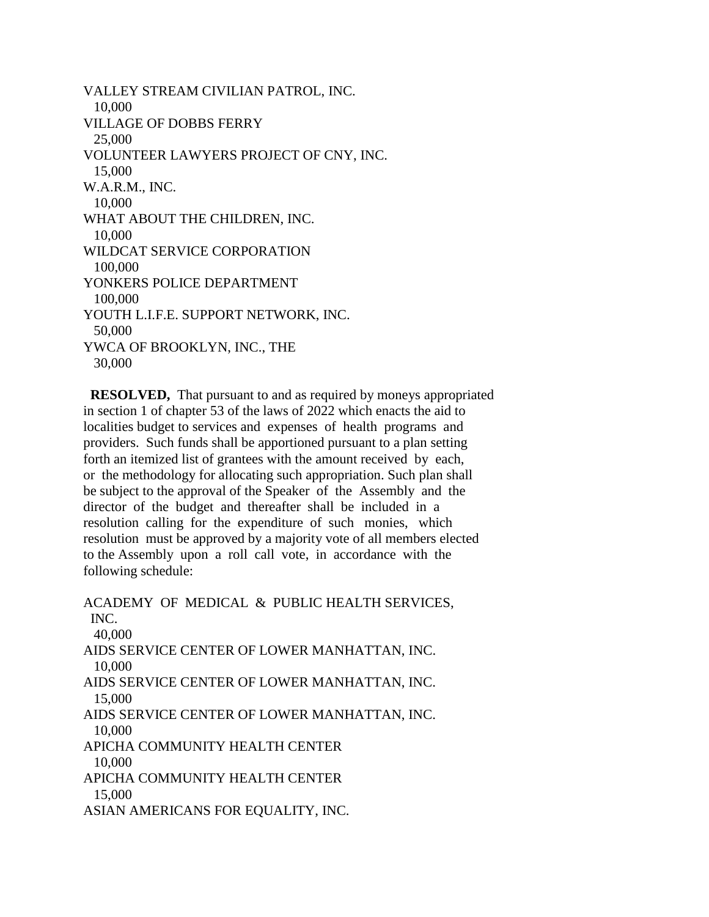VALLEY STREAM CIVILIAN PATROL, INC. 10,000 VILLAGE OF DOBBS FERRY 25,000 VOLUNTEER LAWYERS PROJECT OF CNY, INC. 15,000 W.A.R.M., INC. 10,000 WHAT ABOUT THE CHILDREN, INC. 10,000 WILDCAT SERVICE CORPORATION 100,000 YONKERS POLICE DEPARTMENT 100,000 YOUTH L.I.F.E. SUPPORT NETWORK, INC. 50,000 YWCA OF BROOKLYN, INC., THE 30,000

 **RESOLVED,** That pursuant to and as required by moneys appropriated in section 1 of chapter 53 of the laws of 2022 which enacts the aid to localities budget to services and expenses of health programs and providers. Such funds shall be apportioned pursuant to a plan setting forth an itemized list of grantees with the amount received by each, or the methodology for allocating such appropriation. Such plan shall be subject to the approval of the Speaker of the Assembly and the director of the budget and thereafter shall be included in a resolution calling for the expenditure of such monies, which resolution must be approved by a majority vote of all members elected to the Assembly upon a roll call vote, in accordance with the following schedule:

ACADEMY OF MEDICAL & PUBLIC HEALTH SERVICES, INC. 40,000 AIDS SERVICE CENTER OF LOWER MANHATTAN, INC. 10,000 AIDS SERVICE CENTER OF LOWER MANHATTAN, INC. 15,000 AIDS SERVICE CENTER OF LOWER MANHATTAN, INC. 10,000 APICHA COMMUNITY HEALTH CENTER 10,000 APICHA COMMUNITY HEALTH CENTER 15,000 ASIAN AMERICANS FOR EQUALITY, INC.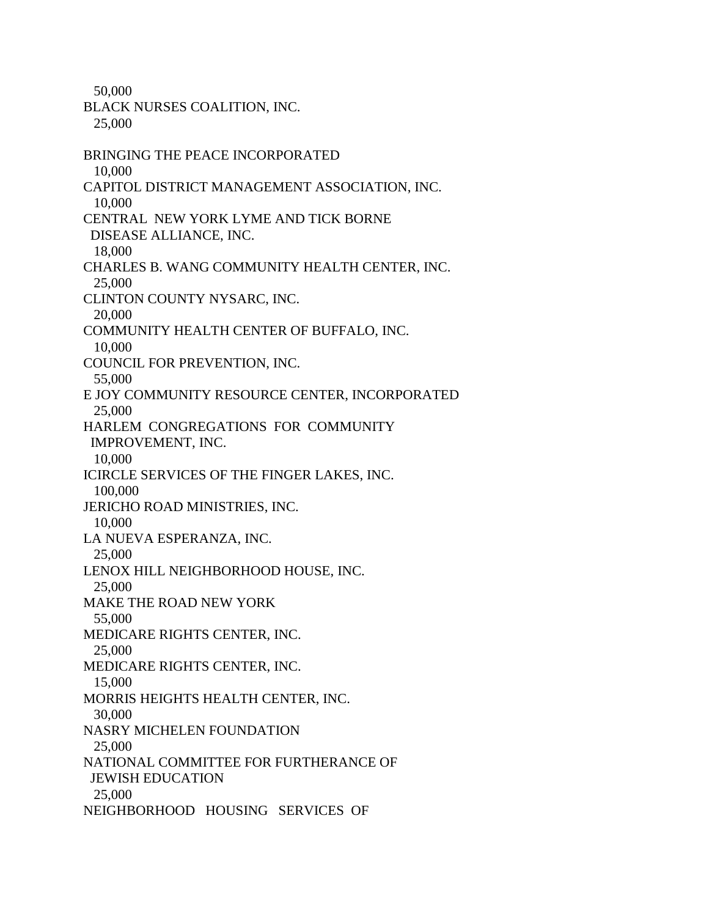50,000

BLACK NURSES COALITION, INC. 25,000 BRINGING THE PEACE INCORPORATED 10,000 CAPITOL DISTRICT MANAGEMENT ASSOCIATION, INC. 10,000 CENTRAL NEW YORK LYME AND TICK BORNE DISEASE ALLIANCE, INC. 18,000 CHARLES B. WANG COMMUNITY HEALTH CENTER, INC. 25,000 CLINTON COUNTY NYSARC, INC. 20,000 COMMUNITY HEALTH CENTER OF BUFFALO, INC. 10,000 COUNCIL FOR PREVENTION, INC. 55,000 E JOY COMMUNITY RESOURCE CENTER, INCORPORATED 25,000 HARLEM CONGREGATIONS FOR COMMUNITY IMPROVEMENT, INC. 10,000 ICIRCLE SERVICES OF THE FINGER LAKES, INC. 100,000 JERICHO ROAD MINISTRIES, INC. 10,000 LA NUEVA ESPERANZA, INC. 25,000 LENOX HILL NEIGHBORHOOD HOUSE, INC. 25,000 MAKE THE ROAD NEW YORK 55,000 MEDICARE RIGHTS CENTER, INC. 25,000 MEDICARE RIGHTS CENTER, INC. 15,000 MORRIS HEIGHTS HEALTH CENTER, INC. 30,000 NASRY MICHELEN FOUNDATION 25,000 NATIONAL COMMITTEE FOR FURTHERANCE OF JEWISH EDUCATION 25,000 NEIGHBORHOOD HOUSING SERVICES OF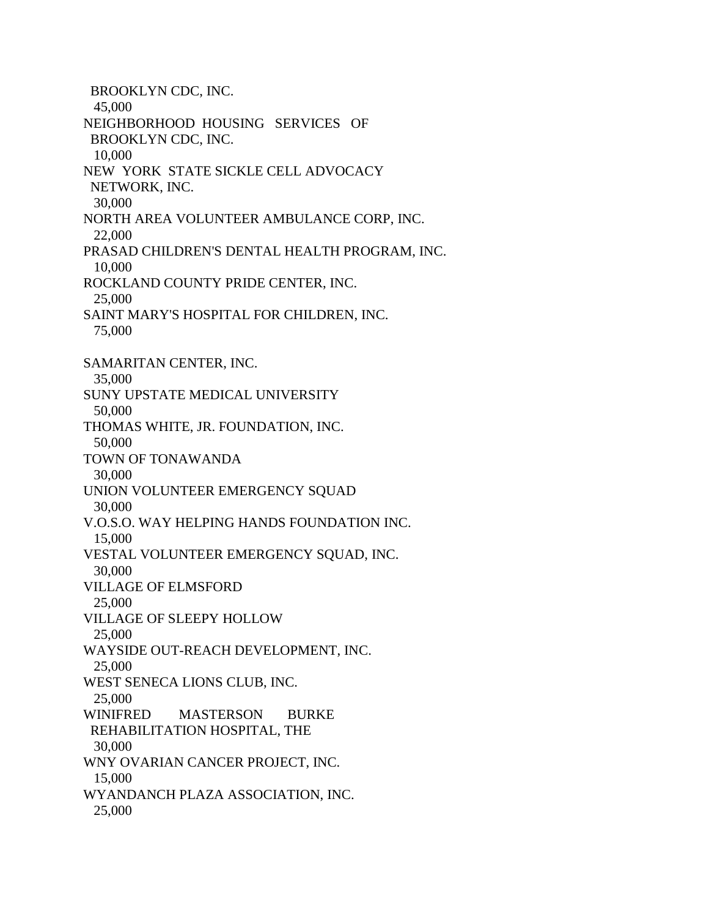BROOKLYN CDC, INC. 45,000 NEIGHBORHOOD HOUSING SERVICES OF BROOKLYN CDC, INC. 10,000 NEW YORK STATE SICKLE CELL ADVOCACY NETWORK, INC. 30,000 NORTH AREA VOLUNTEER AMBULANCE CORP, INC. 22,000 PRASAD CHILDREN'S DENTAL HEALTH PROGRAM, INC. 10,000 ROCKLAND COUNTY PRIDE CENTER, INC. 25,000 SAINT MARY'S HOSPITAL FOR CHILDREN, INC. 75,000 SAMARITAN CENTER, INC. 35,000 SUNY UPSTATE MEDICAL UNIVERSITY 50,000 THOMAS WHITE, JR. FOUNDATION, INC. 50,000 TOWN OF TONAWANDA 30,000 UNION VOLUNTEER EMERGENCY SQUAD 30,000 V.O.S.O. WAY HELPING HANDS FOUNDATION INC. 15,000 VESTAL VOLUNTEER EMERGENCY SQUAD, INC. 30,000 VILLAGE OF ELMSFORD 25,000 VILLAGE OF SLEEPY HOLLOW 25,000 WAYSIDE OUT-REACH DEVELOPMENT, INC. 25,000 WEST SENECA LIONS CLUB, INC. 25,000 WINIFRED MASTERSON BURKE REHABILITATION HOSPITAL, THE 30,000 WNY OVARIAN CANCER PROJECT, INC. 15,000 WYANDANCH PLAZA ASSOCIATION, INC. 25,000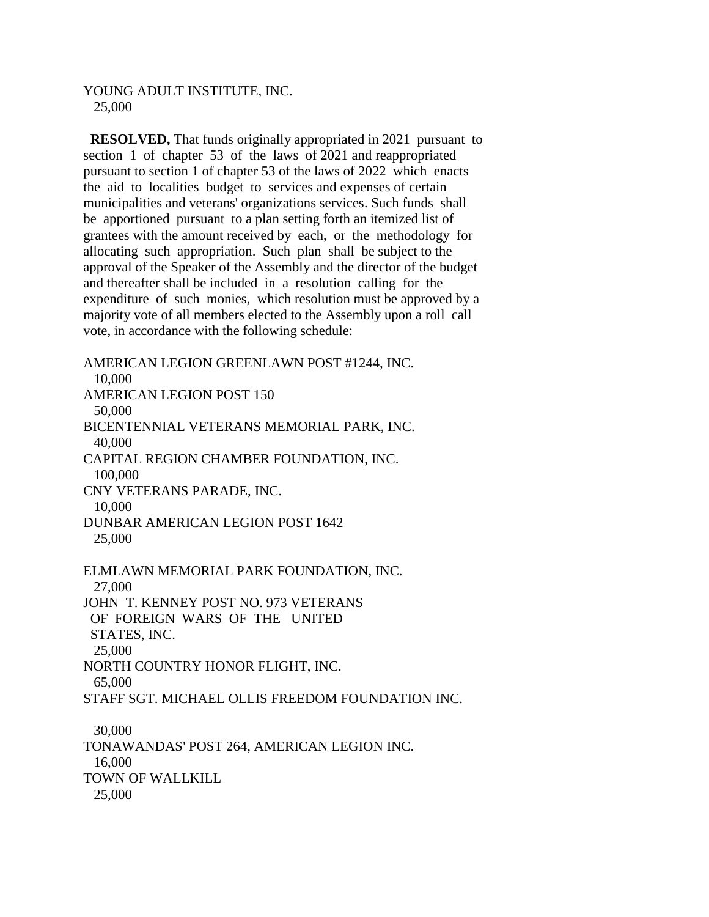## YOUNG ADULT INSTITUTE, INC. 25,000

 **RESOLVED,** That funds originally appropriated in 2021 pursuant to section 1 of chapter 53 of the laws of 2021 and reappropriated pursuant to section 1 of chapter 53 of the laws of 2022 which enacts the aid to localities budget to services and expenses of certain municipalities and veterans' organizations services. Such funds shall be apportioned pursuant to a plan setting forth an itemized list of grantees with the amount received by each, or the methodology for allocating such appropriation. Such plan shall be subject to the approval of the Speaker of the Assembly and the director of the budget and thereafter shall be included in a resolution calling for the expenditure of such monies, which resolution must be approved by a majority vote of all members elected to the Assembly upon a roll call vote, in accordance with the following schedule:

AMERICAN LEGION GREENLAWN POST #1244, INC. 10,000 AMERICAN LEGION POST 150 50,000 BICENTENNIAL VETERANS MEMORIAL PARK, INC. 40,000 CAPITAL REGION CHAMBER FOUNDATION, INC. 100,000 CNY VETERANS PARADE, INC. 10,000 DUNBAR AMERICAN LEGION POST 1642 25,000 ELMLAWN MEMORIAL PARK FOUNDATION, INC. 27,000 JOHN T. KENNEY POST NO. 973 VETERANS OF FOREIGN WARS OF THE UNITED STATES, INC. 25,000 NORTH COUNTRY HONOR FLIGHT, INC. 65,000 STAFF SGT. MICHAEL OLLIS FREEDOM FOUNDATION INC. 30,000 TONAWANDAS' POST 264, AMERICAN LEGION INC. 16,000 TOWN OF WALLKILL 25,000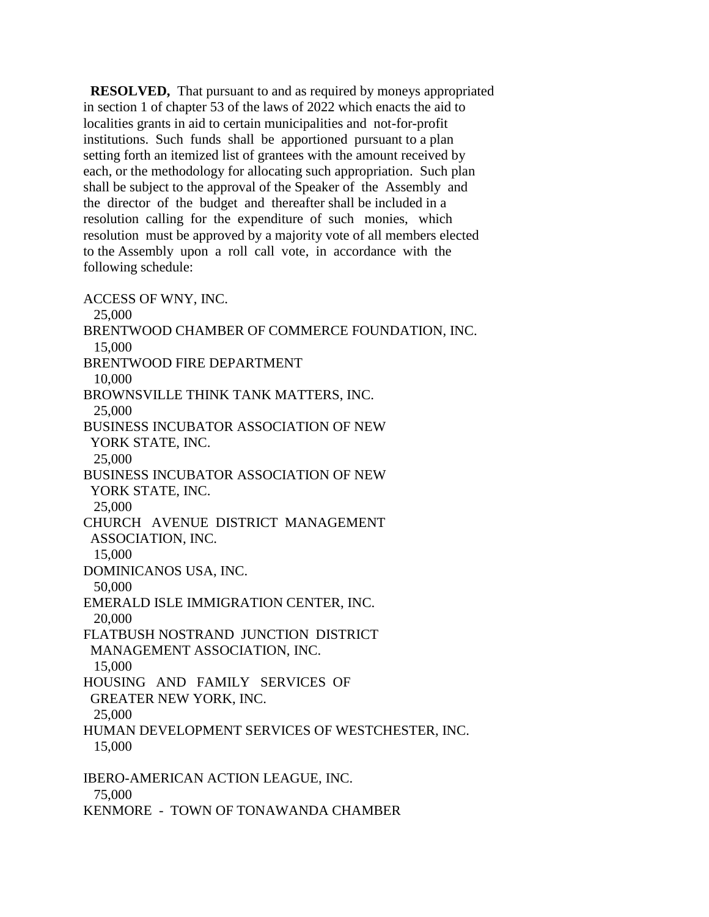**RESOLVED,** That pursuant to and as required by moneys appropriated in section 1 of chapter 53 of the laws of 2022 which enacts the aid to localities grants in aid to certain municipalities and not-for-profit institutions. Such funds shall be apportioned pursuant to a plan setting forth an itemized list of grantees with the amount received by each, or the methodology for allocating such appropriation. Such plan shall be subject to the approval of the Speaker of the Assembly and the director of the budget and thereafter shall be included in a resolution calling for the expenditure of such monies, which resolution must be approved by a majority vote of all members elected to the Assembly upon a roll call vote, in accordance with the following schedule:

ACCESS OF WNY, INC. 25,000 BRENTWOOD CHAMBER OF COMMERCE FOUNDATION, INC. 15,000 BRENTWOOD FIRE DEPARTMENT 10,000 BROWNSVILLE THINK TANK MATTERS, INC. 25,000 BUSINESS INCUBATOR ASSOCIATION OF NEW YORK STATE, INC. 25,000 BUSINESS INCUBATOR ASSOCIATION OF NEW YORK STATE, INC. 25,000 CHURCH AVENUE DISTRICT MANAGEMENT ASSOCIATION, INC. 15,000 DOMINICANOS USA, INC. 50,000 EMERALD ISLE IMMIGRATION CENTER, INC. 20,000 FLATBUSH NOSTRAND JUNCTION DISTRICT MANAGEMENT ASSOCIATION, INC. 15,000 HOUSING AND FAMILY SERVICES OF GREATER NEW YORK, INC. 25,000 HUMAN DEVELOPMENT SERVICES OF WESTCHESTER, INC. 15,000 IBERO-AMERICAN ACTION LEAGUE, INC. 75,000

KENMORE - TOWN OF TONAWANDA CHAMBER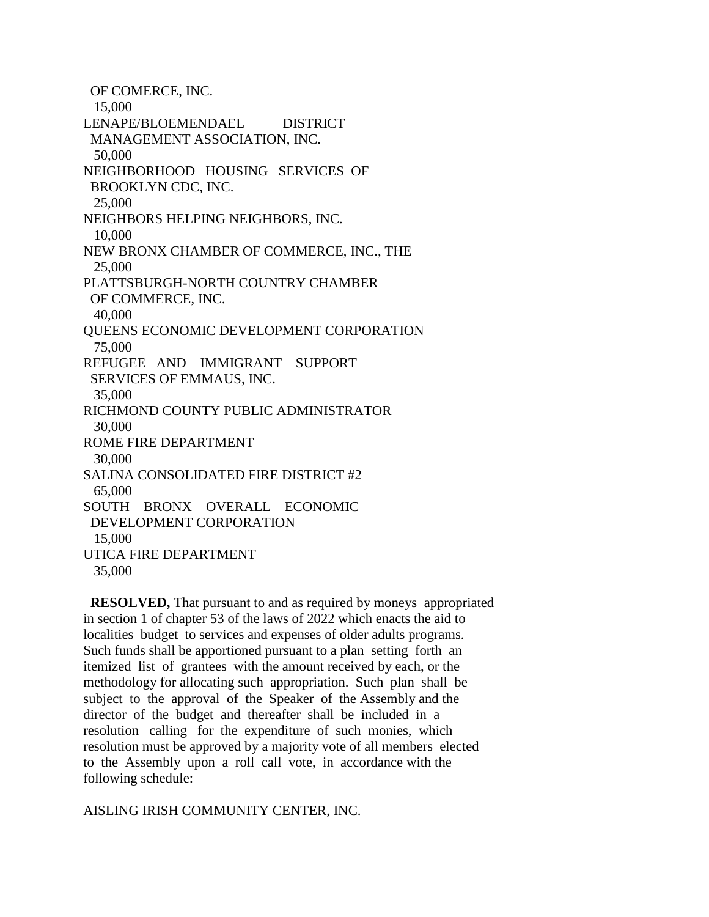OF COMERCE, INC. 15,000 LENAPE/BLOEMENDAEL DISTRICT MANAGEMENT ASSOCIATION, INC. 50,000 NEIGHBORHOOD HOUSING SERVICES OF BROOKLYN CDC, INC. 25,000 NEIGHBORS HELPING NEIGHBORS, INC. 10,000 NEW BRONX CHAMBER OF COMMERCE, INC., THE 25,000 PLATTSBURGH-NORTH COUNTRY CHAMBER OF COMMERCE, INC. 40,000 QUEENS ECONOMIC DEVELOPMENT CORPORATION 75,000 REFUGEE AND IMMIGRANT SUPPORT SERVICES OF EMMAUS, INC. 35,000 RICHMOND COUNTY PUBLIC ADMINISTRATOR 30,000 ROME FIRE DEPARTMENT 30,000 SALINA CONSOLIDATED FIRE DISTRICT #2 65,000 SOUTH BRONX OVERALL ECONOMIC DEVELOPMENT CORPORATION 15,000 UTICA FIRE DEPARTMENT 35,000

 **RESOLVED,** That pursuant to and as required by moneys appropriated in section 1 of chapter 53 of the laws of 2022 which enacts the aid to localities budget to services and expenses of older adults programs. Such funds shall be apportioned pursuant to a plan setting forth an itemized list of grantees with the amount received by each, or the methodology for allocating such appropriation. Such plan shall be subject to the approval of the Speaker of the Assembly and the director of the budget and thereafter shall be included in a resolution calling for the expenditure of such monies, which resolution must be approved by a majority vote of all members elected to the Assembly upon a roll call vote, in accordance with the following schedule:

AISLING IRISH COMMUNITY CENTER, INC.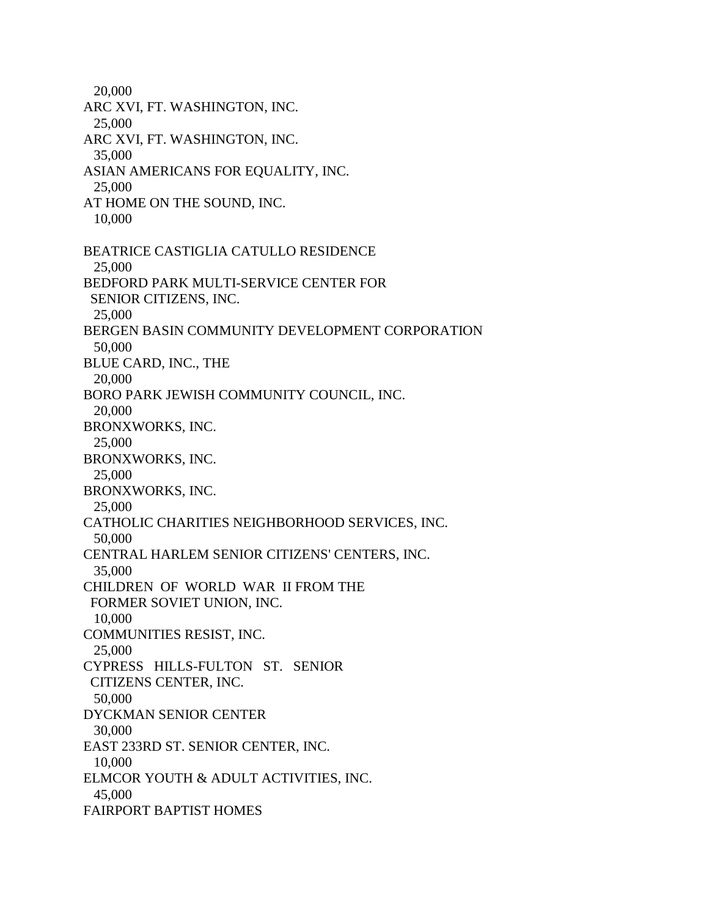20,000 ARC XVI, FT. WASHINGTON, INC. 25,000 ARC XVI, FT. WASHINGTON, INC. 35,000 ASIAN AMERICANS FOR EQUALITY, INC. 25,000 AT HOME ON THE SOUND, INC. 10,000 BEATRICE CASTIGLIA CATULLO RESIDENCE 25,000 BEDFORD PARK MULTI-SERVICE CENTER FOR SENIOR CITIZENS, INC. 25,000 BERGEN BASIN COMMUNITY DEVELOPMENT CORPORATION 50,000 BLUE CARD, INC., THE 20,000 BORO PARK JEWISH COMMUNITY COUNCIL, INC. 20,000 BRONXWORKS, INC. 25,000 BRONXWORKS, INC. 25,000 BRONXWORKS, INC. 25,000 CATHOLIC CHARITIES NEIGHBORHOOD SERVICES, INC. 50,000 CENTRAL HARLEM SENIOR CITIZENS' CENTERS, INC. 35,000 CHILDREN OF WORLD WAR II FROM THE FORMER SOVIET UNION, INC. 10,000 COMMUNITIES RESIST, INC. 25,000 CYPRESS HILLS-FULTON ST. SENIOR CITIZENS CENTER, INC. 50,000 DYCKMAN SENIOR CENTER 30,000 EAST 233RD ST. SENIOR CENTER, INC. 10,000 ELMCOR YOUTH & ADULT ACTIVITIES, INC. 45,000 FAIRPORT BAPTIST HOMES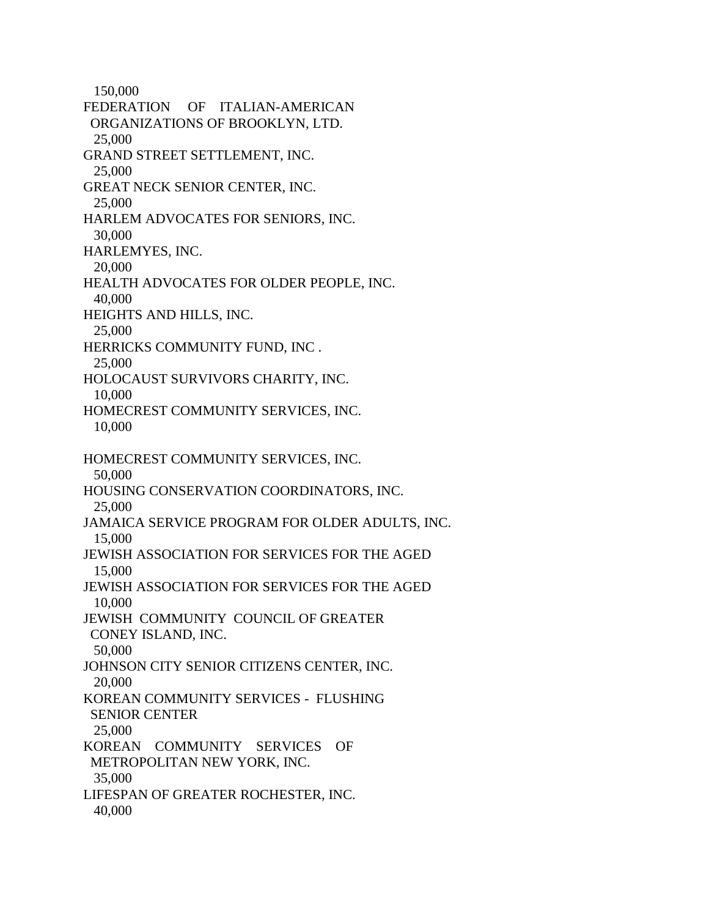150,000 FEDERATION OF ITALIAN-AMERICAN ORGANIZATIONS OF BROOKLYN, LTD. 25,000 GRAND STREET SETTLEMENT, INC. 25,000 GREAT NECK SENIOR CENTER, INC. 25,000 HARLEM ADVOCATES FOR SENIORS, INC. 30,000 HARLEMYES, INC. 20,000 HEALTH ADVOCATES FOR OLDER PEOPLE, INC. 40,000 HEIGHTS AND HILLS, INC. 25,000 HERRICKS COMMUNITY FUND, INC . 25,000 HOLOCAUST SURVIVORS CHARITY, INC. 10,000 HOMECREST COMMUNITY SERVICES, INC. 10,000 HOMECREST COMMUNITY SERVICES, INC. 50,000 HOUSING CONSERVATION COORDINATORS, INC. 25,000 JAMAICA SERVICE PROGRAM FOR OLDER ADULTS, INC. 15,000 JEWISH ASSOCIATION FOR SERVICES FOR THE AGED 15,000 JEWISH ASSOCIATION FOR SERVICES FOR THE AGED 10,000 JEWISH COMMUNITY COUNCIL OF GREATER CONEY ISLAND, INC. 50,000 JOHNSON CITY SENIOR CITIZENS CENTER, INC. 20,000 KOREAN COMMUNITY SERVICES - FLUSHING SENIOR CENTER 25,000 KOREAN COMMUNITY SERVICES OF METROPOLITAN NEW YORK, INC. 35,000 LIFESPAN OF GREATER ROCHESTER, INC. 40,000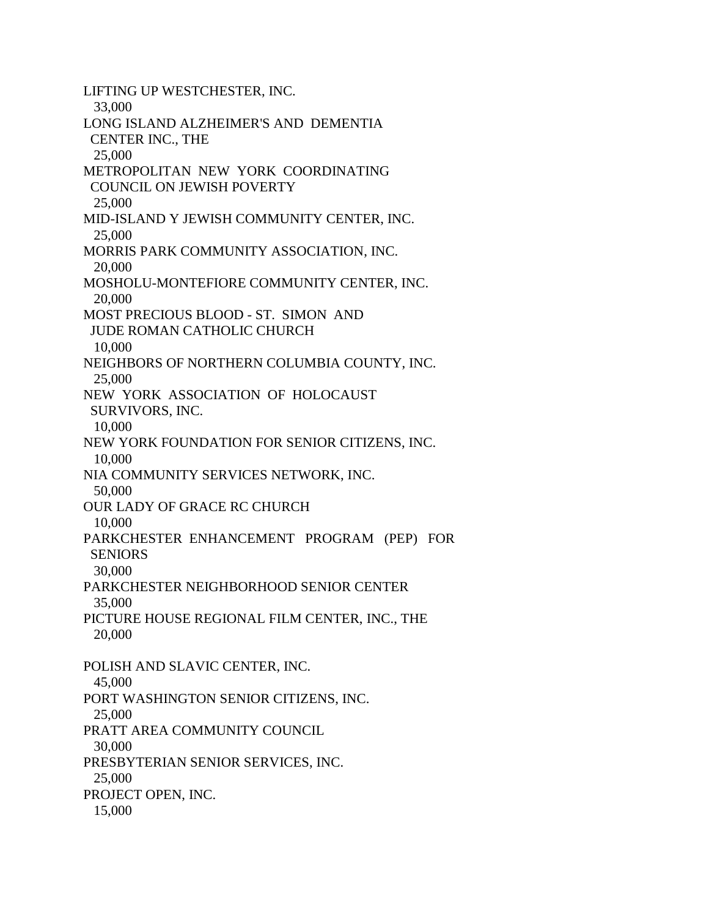LIFTING UP WESTCHESTER, INC. 33,000 LONG ISLAND ALZHEIMER'S AND DEMENTIA CENTER INC., THE 25,000 METROPOLITAN NEW YORK COORDINATING COUNCIL ON JEWISH POVERTY 25,000 MID-ISLAND Y JEWISH COMMUNITY CENTER, INC. 25,000 MORRIS PARK COMMUNITY ASSOCIATION, INC. 20,000 MOSHOLU-MONTEFIORE COMMUNITY CENTER, INC. 20,000 MOST PRECIOUS BLOOD - ST. SIMON AND JUDE ROMAN CATHOLIC CHURCH 10,000 NEIGHBORS OF NORTHERN COLUMBIA COUNTY, INC. 25,000 NEW YORK ASSOCIATION OF HOLOCAUST SURVIVORS, INC. 10,000 NEW YORK FOUNDATION FOR SENIOR CITIZENS, INC. 10,000 NIA COMMUNITY SERVICES NETWORK, INC. 50,000 OUR LADY OF GRACE RC CHURCH 10,000 PARKCHESTER ENHANCEMENT PROGRAM (PEP) FOR **SENIORS**  30,000 PARKCHESTER NEIGHBORHOOD SENIOR CENTER 35,000 PICTURE HOUSE REGIONAL FILM CENTER, INC., THE 20,000 POLISH AND SLAVIC CENTER, INC. 45,000 PORT WASHINGTON SENIOR CITIZENS, INC. 25,000 PRATT AREA COMMUNITY COUNCIL 30,000 PRESBYTERIAN SENIOR SERVICES, INC. 25,000 PROJECT OPEN, INC. 15,000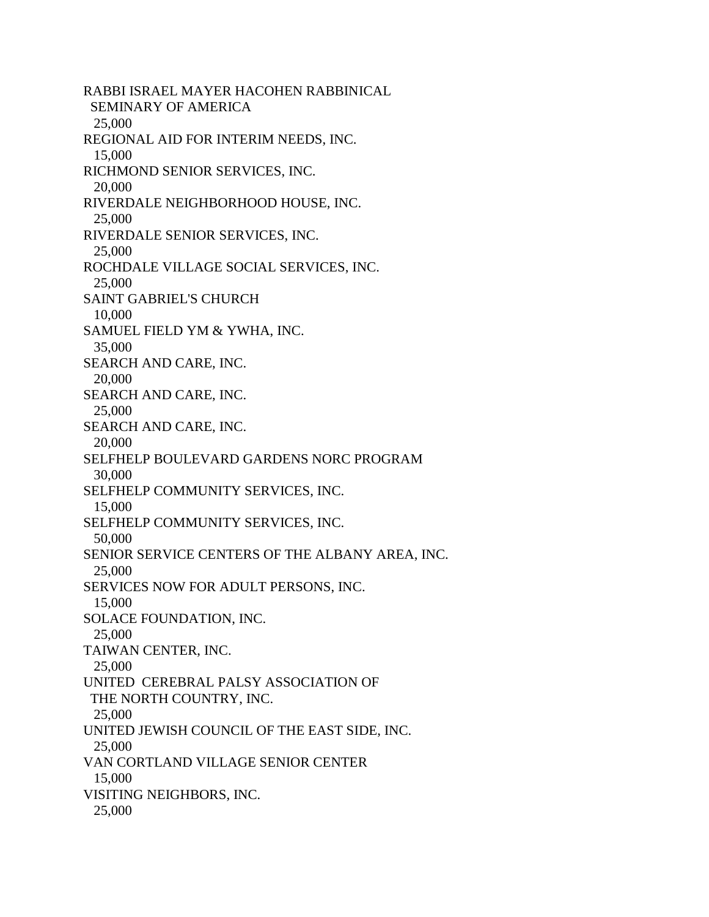RABBI ISRAEL MAYER HACOHEN RABBINICAL SEMINARY OF AMERICA 25,000 REGIONAL AID FOR INTERIM NEEDS, INC. 15,000 RICHMOND SENIOR SERVICES, INC. 20,000 RIVERDALE NEIGHBORHOOD HOUSE, INC. 25,000 RIVERDALE SENIOR SERVICES, INC. 25,000 ROCHDALE VILLAGE SOCIAL SERVICES, INC. 25,000 SAINT GABRIEL'S CHURCH 10,000 SAMUEL FIELD YM & YWHA, INC. 35,000 SEARCH AND CARE, INC. 20,000 SEARCH AND CARE, INC. 25,000 SEARCH AND CARE, INC. 20,000 SELFHELP BOULEVARD GARDENS NORC PROGRAM 30,000 SELFHELP COMMUNITY SERVICES, INC. 15,000 SELFHELP COMMUNITY SERVICES, INC. 50,000 SENIOR SERVICE CENTERS OF THE ALBANY AREA, INC. 25,000 SERVICES NOW FOR ADULT PERSONS, INC. 15,000 SOLACE FOUNDATION, INC. 25,000 TAIWAN CENTER, INC. 25,000 UNITED CEREBRAL PALSY ASSOCIATION OF THE NORTH COUNTRY, INC. 25,000 UNITED JEWISH COUNCIL OF THE EAST SIDE, INC. 25,000 VAN CORTLAND VILLAGE SENIOR CENTER 15,000 VISITING NEIGHBORS, INC. 25,000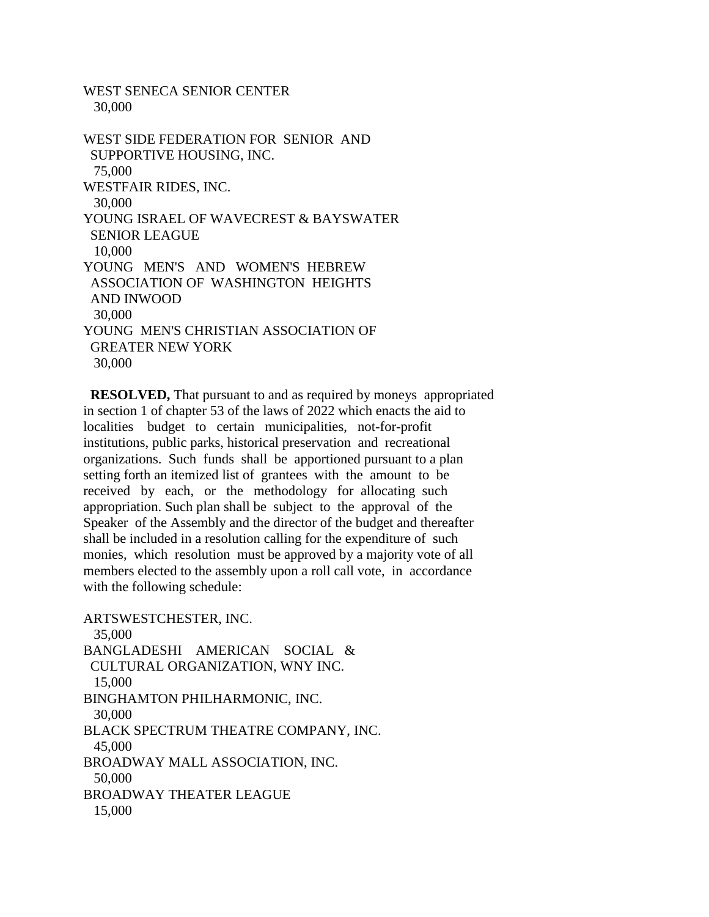30,000 WEST SIDE FEDERATION FOR SENIOR AND SUPPORTIVE HOUSING, INC. 75,000 WESTFAIR RIDES, INC. 30,000 YOUNG ISRAEL OF WAVECREST & BAYSWATER SENIOR LEAGUE 10,000 YOUNG MEN'S AND WOMEN'S HEBREW ASSOCIATION OF WASHINGTON HEIGHTS AND INWOOD 30,000 YOUNG MEN'S CHRISTIAN ASSOCIATION OF GREATER NEW YORK 30,000

WEST SENECA SENIOR CENTER

 **RESOLVED,** That pursuant to and as required by moneys appropriated in section 1 of chapter 53 of the laws of 2022 which enacts the aid to localities budget to certain municipalities, not-for-profit institutions, public parks, historical preservation and recreational organizations. Such funds shall be apportioned pursuant to a plan setting forth an itemized list of grantees with the amount to be received by each, or the methodology for allocating such appropriation. Such plan shall be subject to the approval of the Speaker of the Assembly and the director of the budget and thereafter shall be included in a resolution calling for the expenditure of such monies, which resolution must be approved by a majority vote of all members elected to the assembly upon a roll call vote, in accordance with the following schedule:

ARTSWESTCHESTER, INC. 35,000 BANGLADESHI AMERICAN SOCIAL & CULTURAL ORGANIZATION, WNY INC. 15,000 BINGHAMTON PHILHARMONIC, INC. 30,000 BLACK SPECTRUM THEATRE COMPANY, INC. 45,000 BROADWAY MALL ASSOCIATION, INC. 50,000 BROADWAY THEATER LEAGUE 15,000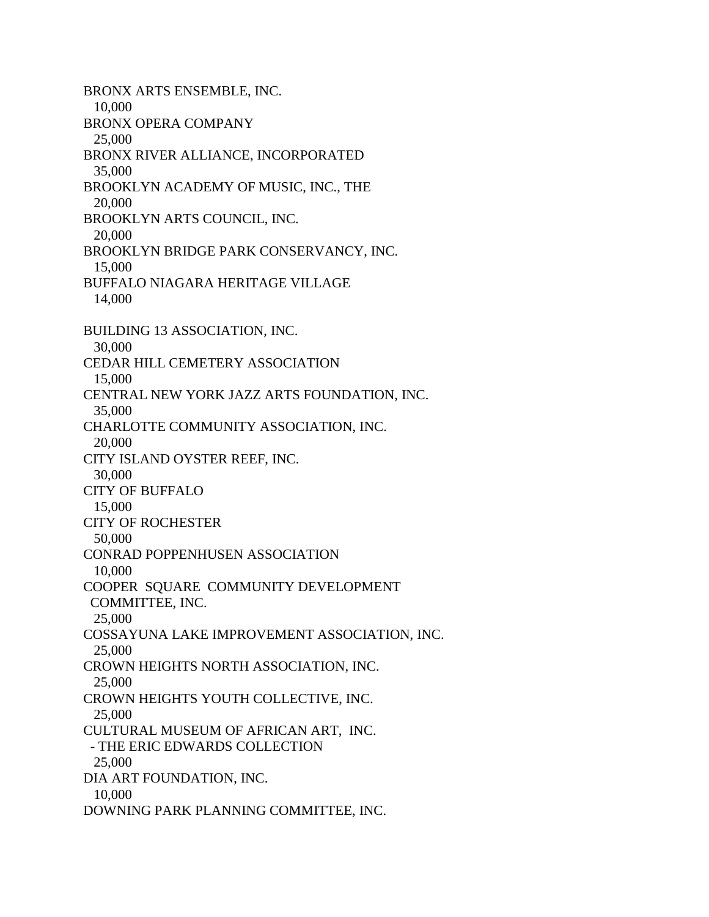BRONX ARTS ENSEMBLE, INC. 10,000 BRONX OPERA COMPANY 25,000 BRONX RIVER ALLIANCE, INCORPORATED 35,000 BROOKLYN ACADEMY OF MUSIC, INC., THE 20,000 BROOKLYN ARTS COUNCIL, INC. 20,000 BROOKLYN BRIDGE PARK CONSERVANCY, INC. 15,000 BUFFALO NIAGARA HERITAGE VILLAGE 14,000 BUILDING 13 ASSOCIATION, INC. 30,000 CEDAR HILL CEMETERY ASSOCIATION 15,000 CENTRAL NEW YORK JAZZ ARTS FOUNDATION, INC. 35,000 CHARLOTTE COMMUNITY ASSOCIATION, INC. 20,000 CITY ISLAND OYSTER REEF, INC. 30,000 CITY OF BUFFALO 15,000 CITY OF ROCHESTER 50,000 CONRAD POPPENHUSEN ASSOCIATION 10,000 COOPER SQUARE COMMUNITY DEVELOPMENT COMMITTEE, INC. 25,000 COSSAYUNA LAKE IMPROVEMENT ASSOCIATION, INC. 25,000 CROWN HEIGHTS NORTH ASSOCIATION, INC. 25,000 CROWN HEIGHTS YOUTH COLLECTIVE, INC. 25,000 CULTURAL MUSEUM OF AFRICAN ART, INC. - THE ERIC EDWARDS COLLECTION 25,000 DIA ART FOUNDATION, INC. 10,000 DOWNING PARK PLANNING COMMITTEE, INC.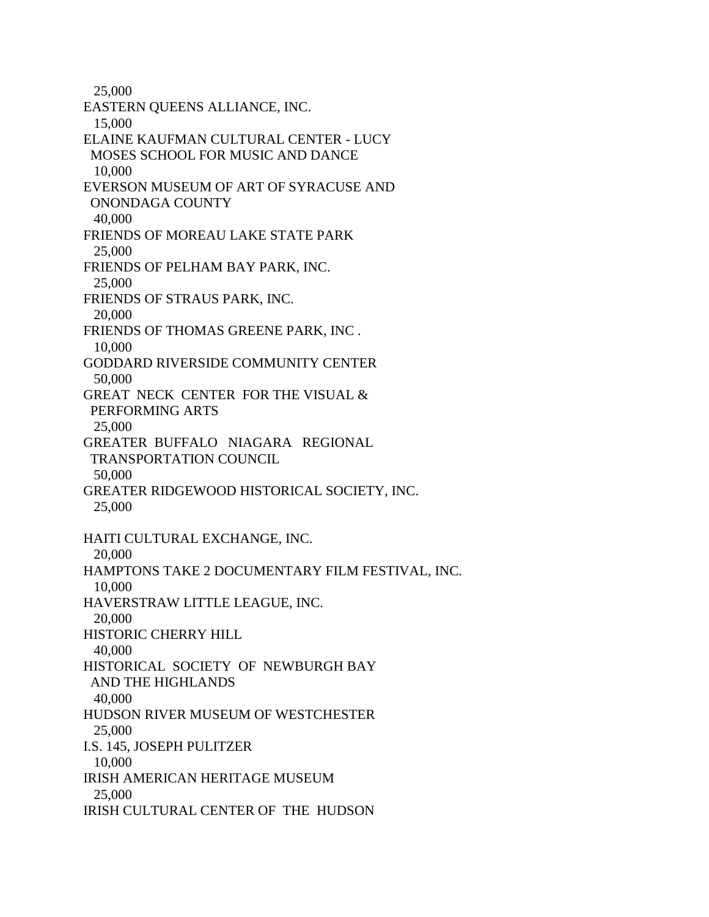25,000 EASTERN QUEENS ALLIANCE, INC. 15,000 ELAINE KAUFMAN CULTURAL CENTER - LUCY MOSES SCHOOL FOR MUSIC AND DANCE 10,000 EVERSON MUSEUM OF ART OF SYRACUSE AND ONONDAGA COUNTY 40,000 FRIENDS OF MOREAU LAKE STATE PARK 25,000 FRIENDS OF PELHAM BAY PARK, INC. 25,000 FRIENDS OF STRAUS PARK, INC. 20,000 FRIENDS OF THOMAS GREENE PARK, INC . 10,000 GODDARD RIVERSIDE COMMUNITY CENTER 50,000 GREAT NECK CENTER FOR THE VISUAL & PERFORMING ARTS 25,000 GREATER BUFFALO NIAGARA REGIONAL TRANSPORTATION COUNCIL 50,000 GREATER RIDGEWOOD HISTORICAL SOCIETY, INC. 25,000 HAITI CULTURAL EXCHANGE, INC. 20,000 HAMPTONS TAKE 2 DOCUMENTARY FILM FESTIVAL, INC. 10,000 HAVERSTRAW LITTLE LEAGUE, INC. 20,000 HISTORIC CHERRY HILL 40,000 HISTORICAL SOCIETY OF NEWBURGH BAY AND THE HIGHLANDS 40,000 HUDSON RIVER MUSEUM OF WESTCHESTER 25,000 I.S. 145, JOSEPH PULITZER 10,000 IRISH AMERICAN HERITAGE MUSEUM 25,000 IRISH CULTURAL CENTER OF THE HUDSON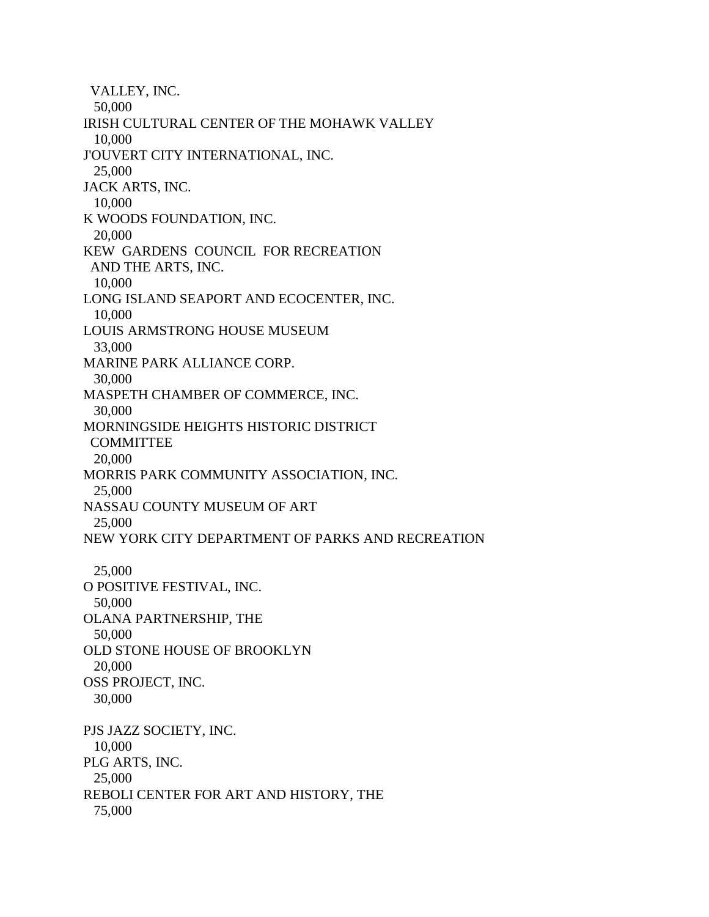VALLEY, INC. 50,000 IRISH CULTURAL CENTER OF THE MOHAWK VALLEY 10,000 J'OUVERT CITY INTERNATIONAL, INC. 25,000 JACK ARTS, INC. 10,000 K WOODS FOUNDATION, INC. 20,000 KEW GARDENS COUNCIL FOR RECREATION AND THE ARTS, INC. 10,000 LONG ISLAND SEAPORT AND ECOCENTER, INC. 10,000 LOUIS ARMSTRONG HOUSE MUSEUM 33,000 MARINE PARK ALLIANCE CORP. 30,000 MASPETH CHAMBER OF COMMERCE, INC. 30,000 MORNINGSIDE HEIGHTS HISTORIC DISTRICT **COMMITTEE**  20,000 MORRIS PARK COMMUNITY ASSOCIATION, INC. 25,000 NASSAU COUNTY MUSEUM OF ART 25,000 NEW YORK CITY DEPARTMENT OF PARKS AND RECREATION 25,000 O POSITIVE FESTIVAL, INC. 50,000 OLANA PARTNERSHIP, THE 50,000 OLD STONE HOUSE OF BROOKLYN 20,000 OSS PROJECT, INC. 30,000 PJS JAZZ SOCIETY, INC. 10,000 PLG ARTS, INC. 25,000 REBOLI CENTER FOR ART AND HISTORY, THE 75,000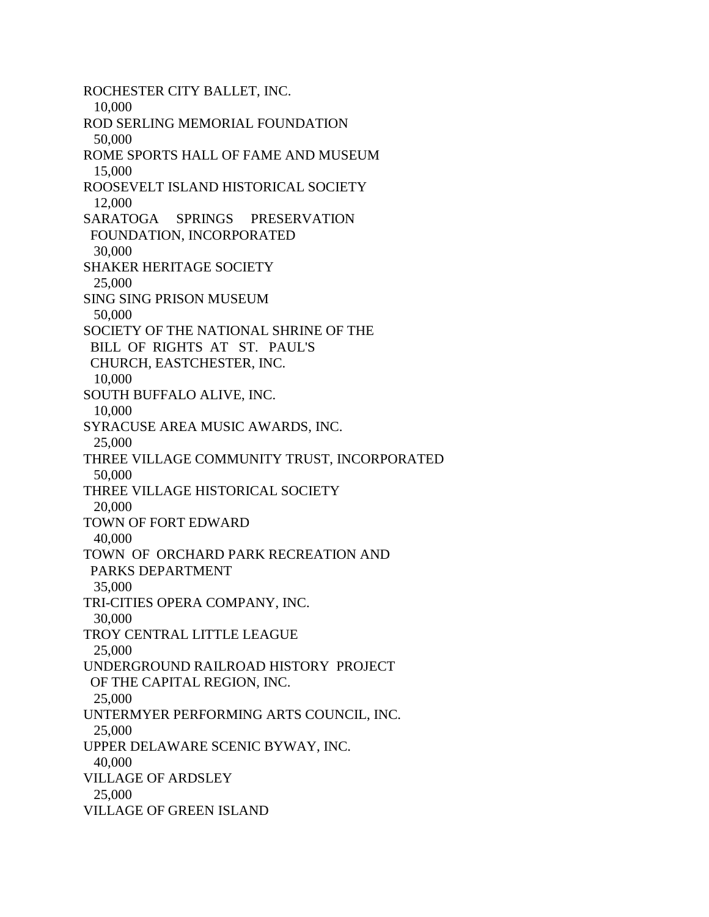ROCHESTER CITY BALLET, INC. 10,000 ROD SERLING MEMORIAL FOUNDATION 50,000 ROME SPORTS HALL OF FAME AND MUSEUM 15,000 ROOSEVELT ISLAND HISTORICAL SOCIETY 12,000 SARATOGA SPRINGS PRESERVATION FOUNDATION, INCORPORATED 30,000 SHAKER HERITAGE SOCIETY 25,000 SING SING PRISON MUSEUM 50,000 SOCIETY OF THE NATIONAL SHRINE OF THE BILL OF RIGHTS AT ST. PAUL'S CHURCH, EASTCHESTER, INC. 10,000 SOUTH BUFFALO ALIVE, INC. 10,000 SYRACUSE AREA MUSIC AWARDS, INC. 25,000 THREE VILLAGE COMMUNITY TRUST, INCORPORATED 50,000 THREE VILLAGE HISTORICAL SOCIETY 20,000 TOWN OF FORT EDWARD 40,000 TOWN OF ORCHARD PARK RECREATION AND PARKS DEPARTMENT 35,000 TRI-CITIES OPERA COMPANY, INC. 30,000 TROY CENTRAL LITTLE LEAGUE 25,000 UNDERGROUND RAILROAD HISTORY PROJECT OF THE CAPITAL REGION, INC. 25,000 UNTERMYER PERFORMING ARTS COUNCIL, INC. 25,000 UPPER DELAWARE SCENIC BYWAY, INC. 40,000 VILLAGE OF ARDSLEY 25,000 VILLAGE OF GREEN ISLAND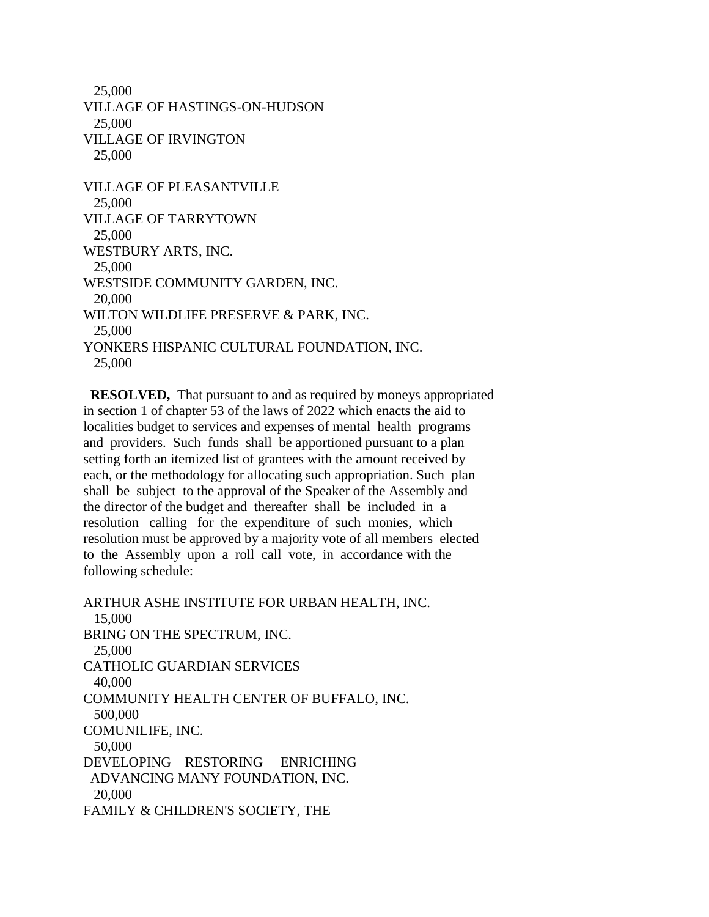25,000 VILLAGE OF HASTINGS-ON-HUDSON 25,000 VILLAGE OF IRVINGTON 25,000 VILLAGE OF PLEASANTVILLE 25,000 VILLAGE OF TARRYTOWN 25,000 WESTBURY ARTS, INC. 25,000 WESTSIDE COMMUNITY GARDEN, INC. 20,000 WILTON WILDLIFE PRESERVE & PARK, INC. 25,000 YONKERS HISPANIC CULTURAL FOUNDATION, INC. 25,000

 **RESOLVED,** That pursuant to and as required by moneys appropriated in section 1 of chapter 53 of the laws of 2022 which enacts the aid to localities budget to services and expenses of mental health programs and providers. Such funds shall be apportioned pursuant to a plan setting forth an itemized list of grantees with the amount received by each, or the methodology for allocating such appropriation. Such plan shall be subject to the approval of the Speaker of the Assembly and the director of the budget and thereafter shall be included in a resolution calling for the expenditure of such monies, which resolution must be approved by a majority vote of all members elected to the Assembly upon a roll call vote, in accordance with the following schedule:

ARTHUR ASHE INSTITUTE FOR URBAN HEALTH, INC. 15,000 BRING ON THE SPECTRUM, INC. 25,000 CATHOLIC GUARDIAN SERVICES 40,000 COMMUNITY HEALTH CENTER OF BUFFALO, INC. 500,000 COMUNILIFE, INC. 50,000 DEVELOPING RESTORING ENRICHING ADVANCING MANY FOUNDATION, INC. 20,000 FAMILY & CHILDREN'S SOCIETY, THE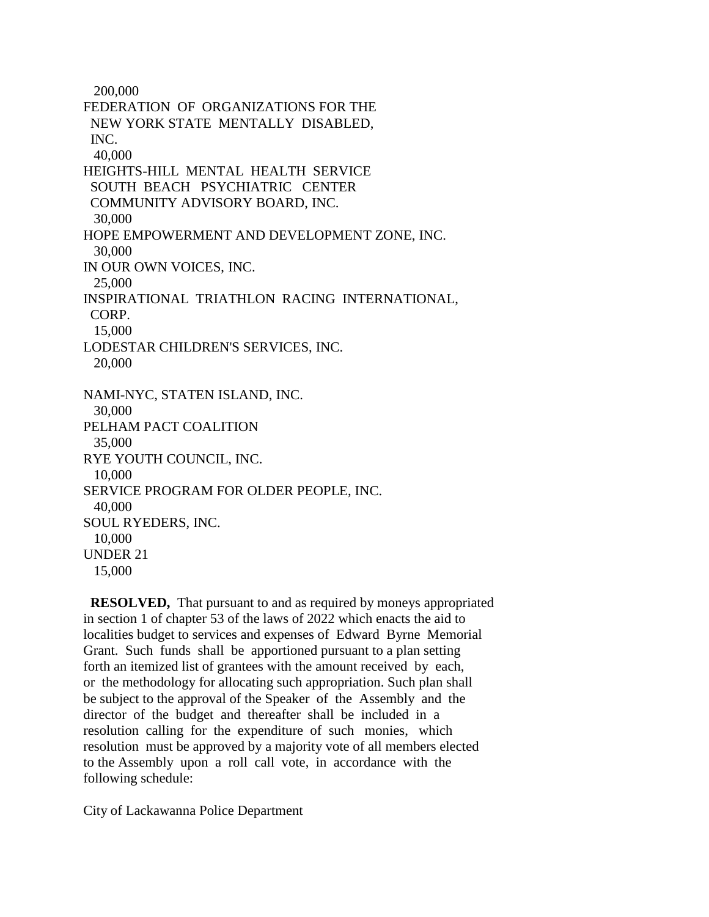200,000 FEDERATION OF ORGANIZATIONS FOR THE NEW YORK STATE MENTALLY DISABLED, INC. 40,000 HEIGHTS-HILL MENTAL HEALTH SERVICE SOUTH BEACH PSYCHIATRIC CENTER COMMUNITY ADVISORY BOARD, INC. 30,000 HOPE EMPOWERMENT AND DEVELOPMENT ZONE, INC. 30,000 IN OUR OWN VOICES, INC. 25,000 INSPIRATIONAL TRIATHLON RACING INTERNATIONAL, CORP. 15,000 LODESTAR CHILDREN'S SERVICES, INC. 20,000 NAMI-NYC, STATEN ISLAND, INC. 30,000 PELHAM PACT COALITION 35,000 RYE YOUTH COUNCIL, INC. 10,000 SERVICE PROGRAM FOR OLDER PEOPLE, INC. 40,000 SOUL RYEDERS, INC. 10,000 UNDER 21 15,000

 **RESOLVED,** That pursuant to and as required by moneys appropriated in section 1 of chapter 53 of the laws of 2022 which enacts the aid to localities budget to services and expenses of Edward Byrne Memorial Grant. Such funds shall be apportioned pursuant to a plan setting forth an itemized list of grantees with the amount received by each, or the methodology for allocating such appropriation. Such plan shall be subject to the approval of the Speaker of the Assembly and the director of the budget and thereafter shall be included in a resolution calling for the expenditure of such monies, which resolution must be approved by a majority vote of all members elected to the Assembly upon a roll call vote, in accordance with the following schedule:

City of Lackawanna Police Department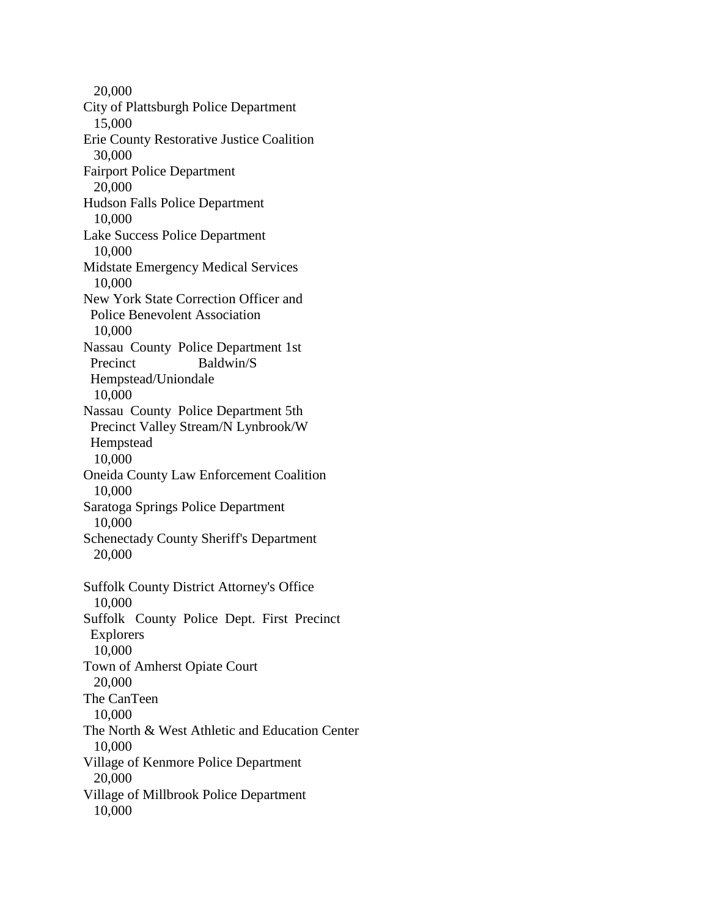20,000 City of Plattsburgh Police Department 15,000 Erie County Restorative Justice Coalition 30,000 Fairport Police Department 20,000 Hudson Falls Police Department 10,000 Lake Success Police Department 10,000 Midstate Emergency Medical Services 10,000 New York State Correction Officer and Police Benevolent Association 10,000 Nassau County Police Department 1st Precinct Baldwin/S Hempstead/Uniondale 10,000 Nassau County Police Department 5th Precinct Valley Stream/N Lynbrook/W Hempstead 10,000 Oneida County Law Enforcement Coalition 10,000 Saratoga Springs Police Department 10,000 Schenectady County Sheriff's Department 20,000 Suffolk County District Attorney's Office 10,000 Suffolk County Police Dept. First Precinct Explorers 10,000 Town of Amherst Opiate Court 20,000 The CanTeen 10,000 The North & West Athletic and Education Center 10,000 Village of Kenmore Police Department 20,000 Village of Millbrook Police Department 10,000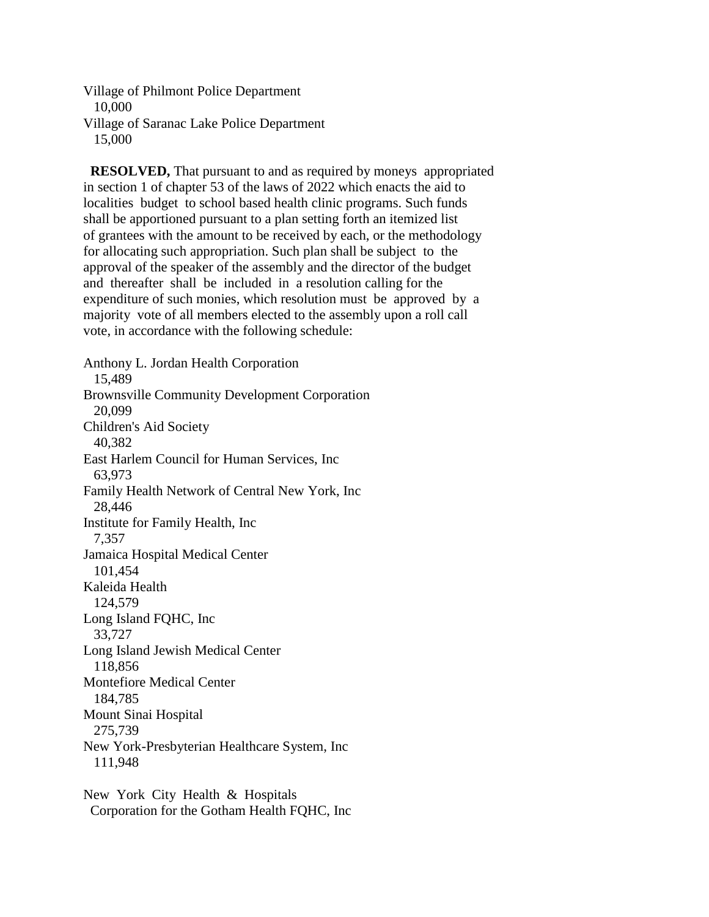Village of Philmont Police Department 10,000 Village of Saranac Lake Police Department 15,000

 **RESOLVED,** That pursuant to and as required by moneys appropriated in section 1 of chapter 53 of the laws of 2022 which enacts the aid to localities budget to school based health clinic programs. Such funds shall be apportioned pursuant to a plan setting forth an itemized list of grantees with the amount to be received by each, or the methodology for allocating such appropriation. Such plan shall be subject to the approval of the speaker of the assembly and the director of the budget and thereafter shall be included in a resolution calling for the expenditure of such monies, which resolution must be approved by a majority vote of all members elected to the assembly upon a roll call vote, in accordance with the following schedule:

Anthony L. Jordan Health Corporation 15,489 Brownsville Community Development Corporation 20,099 Children's Aid Society 40,382 East Harlem Council for Human Services, Inc 63,973 Family Health Network of Central New York, Inc 28,446 Institute for Family Health, Inc 7,357 Jamaica Hospital Medical Center 101,454 Kaleida Health 124,579 Long Island FQHC, Inc 33,727 Long Island Jewish Medical Center 118,856 Montefiore Medical Center 184,785 Mount Sinai Hospital 275,739 New York-Presbyterian Healthcare System, Inc 111,948

New York City Health & Hospitals Corporation for the Gotham Health FQHC, Inc